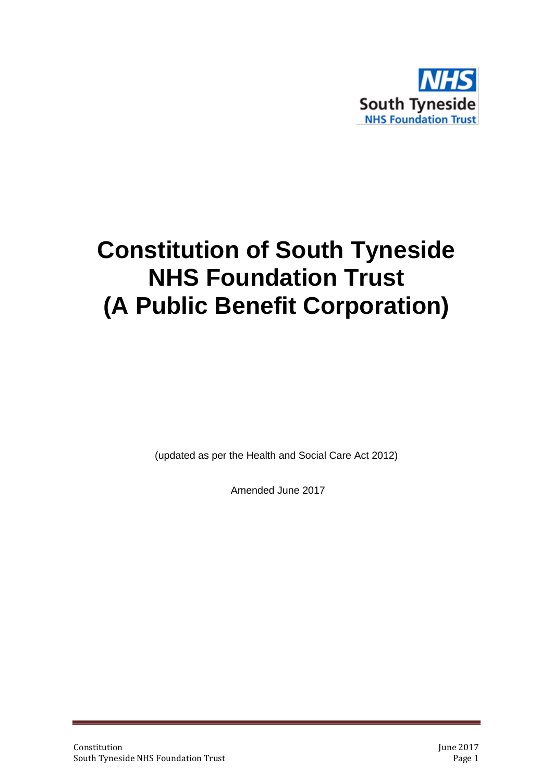

# **Constitution of South Tyneside NHS Foundation Trust (A Public Benefit Corporation)**

(updated as per the Health and Social Care Act 2012)

Amended June 2017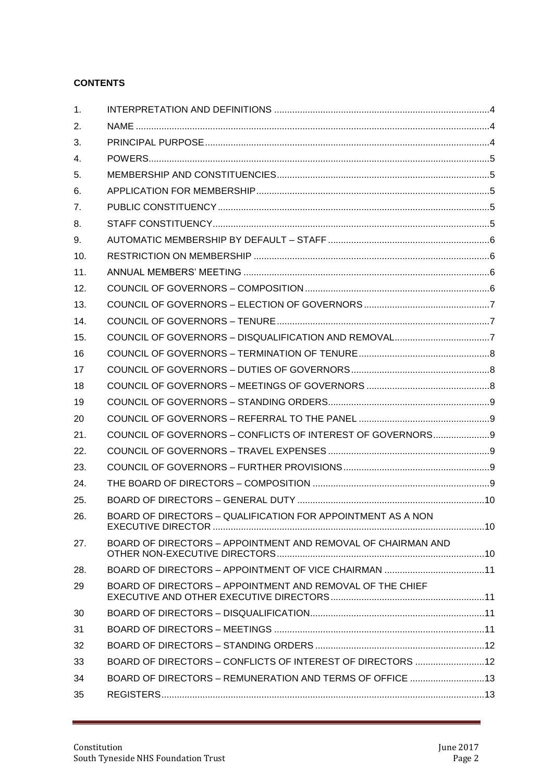# **CONTENTS**

| 1.  |                                                              |  |
|-----|--------------------------------------------------------------|--|
| 2.  |                                                              |  |
| 3.  |                                                              |  |
| 4.  |                                                              |  |
| 5.  |                                                              |  |
| 6.  |                                                              |  |
| 7.  |                                                              |  |
| 8.  |                                                              |  |
| 9.  |                                                              |  |
| 10. |                                                              |  |
| 11. |                                                              |  |
| 12. |                                                              |  |
| 13. |                                                              |  |
| 14. |                                                              |  |
| 15. |                                                              |  |
| 16  |                                                              |  |
| 17  |                                                              |  |
| 18  |                                                              |  |
| 19  |                                                              |  |
| 20  |                                                              |  |
| 21. | COUNCIL OF GOVERNORS - CONFLICTS OF INTEREST OF GOVERNORS 9  |  |
| 22. |                                                              |  |
| 23. |                                                              |  |
| 24. |                                                              |  |
| 25. |                                                              |  |
| 26. | BOARD OF DIRECTORS – QUALIFICATION FOR APPOINTMENT AS A NON  |  |
| 27. | BOARD OF DIRECTORS - APPOINTMENT AND REMOVAL OF CHAIRMAN AND |  |
| 28. |                                                              |  |
| 29  | BOARD OF DIRECTORS - APPOINTMENT AND REMOVAL OF THE CHIEF    |  |
| 30  |                                                              |  |
| 31  |                                                              |  |
| 32  |                                                              |  |
| 33  | BOARD OF DIRECTORS - CONFLICTS OF INTEREST OF DIRECTORS  12  |  |
| 34  | BOARD OF DIRECTORS - REMUNERATION AND TERMS OF OFFICE  13    |  |
| 35  |                                                              |  |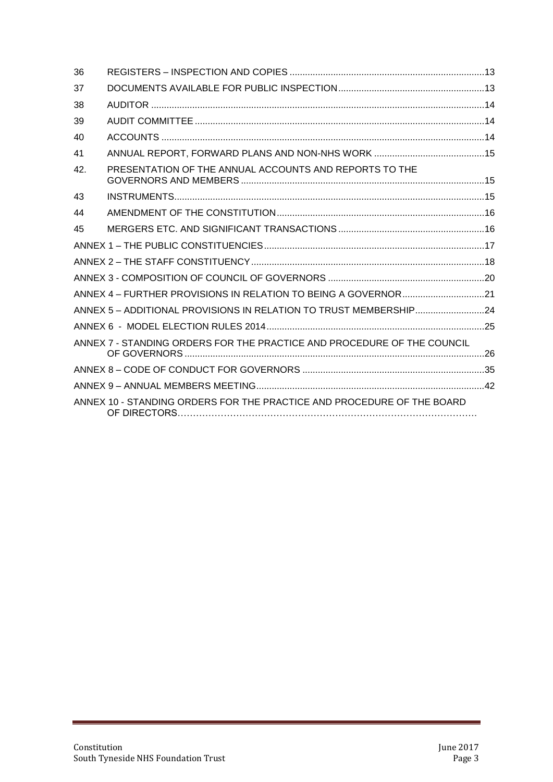| 36  |                                                                         |  |
|-----|-------------------------------------------------------------------------|--|
| 37  |                                                                         |  |
| 38  |                                                                         |  |
| 39  |                                                                         |  |
| 40  |                                                                         |  |
| 41  |                                                                         |  |
| 42. | PRESENTATION OF THE ANNUAL ACCOUNTS AND REPORTS TO THE                  |  |
| 43  |                                                                         |  |
| 44  |                                                                         |  |
| 45  |                                                                         |  |
|     |                                                                         |  |
|     |                                                                         |  |
|     |                                                                         |  |
|     |                                                                         |  |
|     | ANNEX 5 - ADDITIONAL PROVISIONS IN RELATION TO TRUST MEMBERSHIP24       |  |
|     |                                                                         |  |
|     | ANNEX 7 - STANDING ORDERS FOR THE PRACTICE AND PROCEDURE OF THE COUNCIL |  |
|     |                                                                         |  |
|     |                                                                         |  |
|     | ANNEX 10 - STANDING ORDERS FOR THE PRACTICE AND PROCEDURE OF THE BOARD  |  |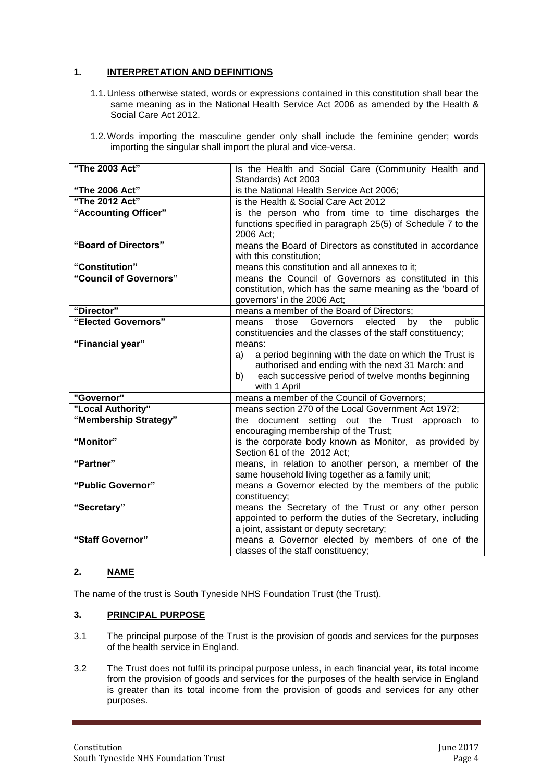# <span id="page-3-0"></span>**1. INTERPRETATION AND DEFINITIONS**

- 1.1.Unless otherwise stated, words or expressions contained in this constitution shall bear the same meaning as in the National Health Service Act 2006 as amended by the Health & Social Care Act 2012.
- 1.2.Words importing the masculine gender only shall include the feminine gender; words importing the singular shall import the plural and vice-versa.

| "The 2003 Act"         | Is the Health and Social Care (Community Health and                                                    |  |
|------------------------|--------------------------------------------------------------------------------------------------------|--|
| "The 2006 Act"         | Standards) Act 2003<br>is the National Health Service Act 2006;                                        |  |
| "The 2012 Act"         | is the Health & Social Care Act 2012                                                                   |  |
| "Accounting Officer"   | is the person who from time to time discharges the                                                     |  |
|                        | functions specified in paragraph 25(5) of Schedule 7 to the                                            |  |
|                        | 2006 Act;                                                                                              |  |
| "Board of Directors"   | means the Board of Directors as constituted in accordance                                              |  |
|                        | with this constitution;                                                                                |  |
| "Constitution"         | means this constitution and all annexes to it;                                                         |  |
| "Council of Governors" | means the Council of Governors as constituted in this                                                  |  |
|                        | constitution, which has the same meaning as the 'board of                                              |  |
|                        | governors' in the 2006 Act;                                                                            |  |
| "Director"             | means a member of the Board of Directors;                                                              |  |
| "Elected Governors"    | public<br>those<br>Governors<br>elected<br>by<br>the<br>means                                          |  |
|                        | constituencies and the classes of the staff constituency;                                              |  |
| "Financial year"       | means:                                                                                                 |  |
|                        | a period beginning with the date on which the Trust is<br>a)                                           |  |
|                        | authorised and ending with the next 31 March: and<br>each successive period of twelve months beginning |  |
|                        | b)<br>with 1 April                                                                                     |  |
| "Governor"             | means a member of the Council of Governors;                                                            |  |
| "Local Authority"      | means section 270 of the Local Government Act 1972;                                                    |  |
| "Membership Strategy"  | the document setting out the Trust approach to                                                         |  |
|                        | encouraging membership of the Trust;                                                                   |  |
| "Monitor"              | is the corporate body known as Monitor, as provided by                                                 |  |
|                        | Section 61 of the 2012 Act;                                                                            |  |
| "Partner"              | means, in relation to another person, a member of the                                                  |  |
|                        | same household living together as a family unit;                                                       |  |
| "Public Governor"      | means a Governor elected by the members of the public                                                  |  |
|                        | constituency;                                                                                          |  |
| "Secretary"            | means the Secretary of the Trust or any other person                                                   |  |
|                        | appointed to perform the duties of the Secretary, including                                            |  |
|                        | a joint, assistant or deputy secretary;                                                                |  |
| "Staff Governor"       | means a Governor elected by members of one of the                                                      |  |
|                        | classes of the staff constituency;                                                                     |  |

# <span id="page-3-1"></span>**2. NAME**

The name of the trust is South Tyneside NHS Foundation Trust (the Trust).

#### <span id="page-3-2"></span>**3. PRINCIPAL PURPOSE**

- 3.1 The principal purpose of the Trust is the provision of goods and services for the purposes of the health service in England.
- 3.2 The Trust does not fulfil its principal purpose unless, in each financial year, its total income from the provision of goods and services for the purposes of the health service in England is greater than its total income from the provision of goods and services for any other purposes.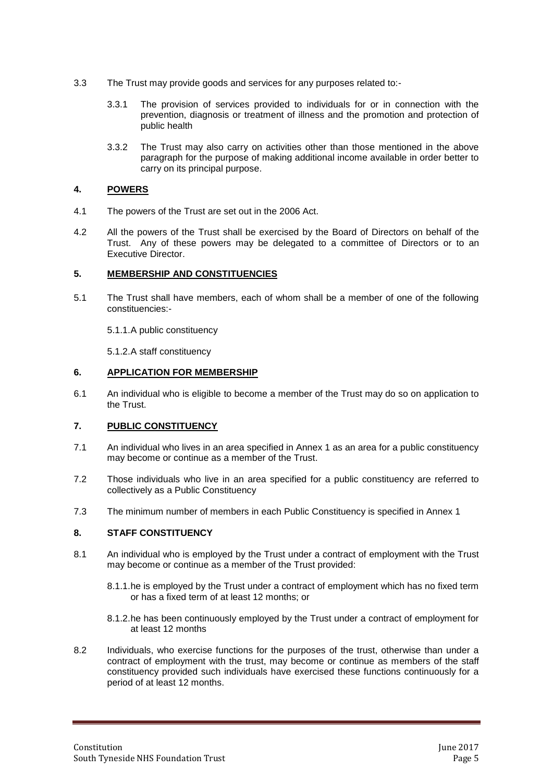- 3.3 The Trust may provide goods and services for any purposes related to:-
	- 3.3.1 The provision of services provided to individuals for or in connection with the prevention, diagnosis or treatment of illness and the promotion and protection of public health
	- 3.3.2 The Trust may also carry on activities other than those mentioned in the above paragraph for the purpose of making additional income available in order better to carry on its principal purpose.

# <span id="page-4-0"></span>**4. POWERS**

- 4.1 The powers of the Trust are set out in the 2006 Act.
- 4.2 All the powers of the Trust shall be exercised by the Board of Directors on behalf of the Trust. Any of these powers may be delegated to a committee of Directors or to an Executive Director.

# <span id="page-4-1"></span>**5. MEMBERSHIP AND CONSTITUENCIES**

5.1 The Trust shall have members, each of whom shall be a member of one of the following constituencies:-

5.1.1.A public constituency

5.1.2.A staff constituency

# <span id="page-4-2"></span>**6. APPLICATION FOR MEMBERSHIP**

6.1 An individual who is eligible to become a member of the Trust may do so on application to the Trust.

# <span id="page-4-3"></span>**7. PUBLIC CONSTITUENCY**

- 7.1 An individual who lives in an area specified in Annex 1 as an area for a public constituency may become or continue as a member of the Trust.
- 7.2 Those individuals who live in an area specified for a public constituency are referred to collectively as a Public Constituency
- 7.3 The minimum number of members in each Public Constituency is specified in Annex 1

# <span id="page-4-4"></span>**8. STAFF CONSTITUENCY**

- 8.1 An individual who is employed by the Trust under a contract of employment with the Trust may become or continue as a member of the Trust provided:
	- 8.1.1.he is employed by the Trust under a contract of employment which has no fixed term or has a fixed term of at least 12 months; or
	- 8.1.2.he has been continuously employed by the Trust under a contract of employment for at least 12 months
- 8.2 Individuals, who exercise functions for the purposes of the trust, otherwise than under a contract of employment with the trust, may become or continue as members of the staff constituency provided such individuals have exercised these functions continuously for a period of at least 12 months.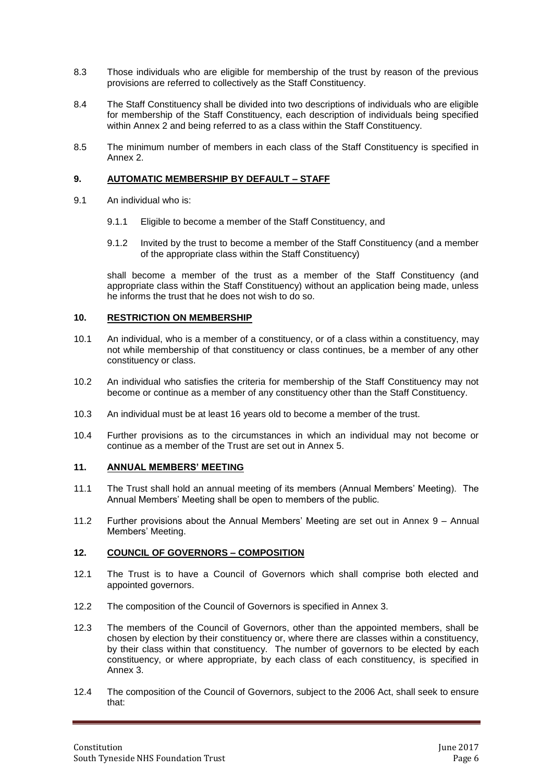- 8.3 Those individuals who are eligible for membership of the trust by reason of the previous provisions are referred to collectively as the Staff Constituency.
- 8.4 The Staff Constituency shall be divided into two descriptions of individuals who are eligible for membership of the Staff Constituency, each description of individuals being specified within Annex 2 and being referred to as a class within the Staff Constituency.
- 8.5 The minimum number of members in each class of the Staff Constituency is specified in Annex 2.

#### <span id="page-5-0"></span>**9. AUTOMATIC MEMBERSHIP BY DEFAULT – STAFF**

- 9.1 An individual who is:
	- 9.1.1 Eligible to become a member of the Staff Constituency, and
	- 9.1.2 Invited by the trust to become a member of the Staff Constituency (and a member of the appropriate class within the Staff Constituency)

shall become a member of the trust as a member of the Staff Constituency (and appropriate class within the Staff Constituency) without an application being made, unless he informs the trust that he does not wish to do so.

#### <span id="page-5-1"></span>**10. RESTRICTION ON MEMBERSHIP**

- 10.1 An individual, who is a member of a constituency, or of a class within a constituency, may not while membership of that constituency or class continues, be a member of any other constituency or class.
- 10.2 An individual who satisfies the criteria for membership of the Staff Constituency may not become or continue as a member of any constituency other than the Staff Constituency.
- 10.3 An individual must be at least 16 years old to become a member of the trust.
- 10.4 Further provisions as to the circumstances in which an individual may not become or continue as a member of the Trust are set out in Annex 5.

#### <span id="page-5-2"></span>**11. ANNUAL MEMBERS' MEETING**

- 11.1 The Trust shall hold an annual meeting of its members (Annual Members' Meeting). The Annual Members' Meeting shall be open to members of the public.
- 11.2 Further provisions about the Annual Members' Meeting are set out in Annex 9 Annual Members' Meeting.

#### <span id="page-5-3"></span>**12. COUNCIL OF GOVERNORS – COMPOSITION**

- 12.1 The Trust is to have a Council of Governors which shall comprise both elected and appointed governors.
- 12.2 The composition of the Council of Governors is specified in Annex 3.
- 12.3 The members of the Council of Governors, other than the appointed members, shall be chosen by election by their constituency or, where there are classes within a constituency, by their class within that constituency. The number of governors to be elected by each constituency, or where appropriate, by each class of each constituency, is specified in Annex 3.
- 12.4 The composition of the Council of Governors, subject to the 2006 Act, shall seek to ensure that: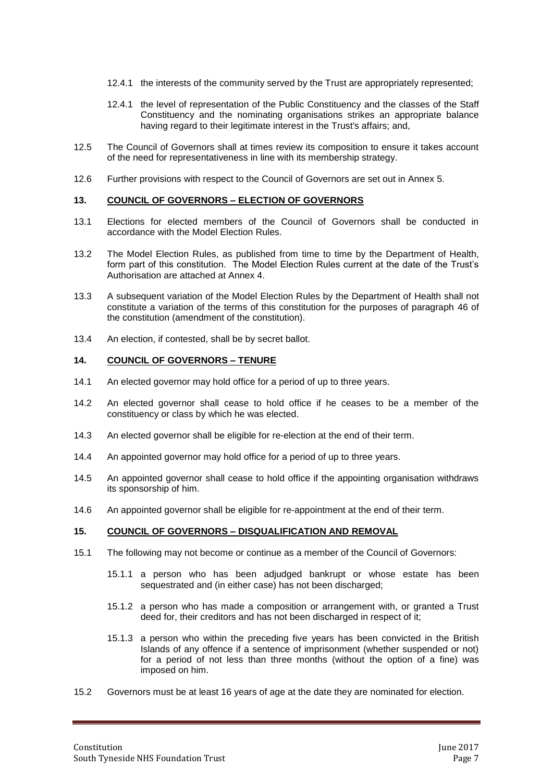- 12.4.1 the interests of the community served by the Trust are appropriately represented;
- 12.4.1 the level of representation of the Public Constituency and the classes of the Staff Constituency and the nominating organisations strikes an appropriate balance having regard to their legitimate interest in the Trust's affairs; and,
- 12.5 The Council of Governors shall at times review its composition to ensure it takes account of the need for representativeness in line with its membership strategy.
- 12.6 Further provisions with respect to the Council of Governors are set out in Annex 5.

#### <span id="page-6-0"></span>**13. COUNCIL OF GOVERNORS – ELECTION OF GOVERNORS**

- 13.1 Elections for elected members of the Council of Governors shall be conducted in accordance with the Model Election Rules.
- 13.2 The Model Election Rules, as published from time to time by the Department of Health, form part of this constitution. The Model Election Rules current at the date of the Trust's Authorisation are attached at Annex 4.
- 13.3 A subsequent variation of the Model Election Rules by the Department of Health shall not constitute a variation of the terms of this constitution for the purposes of paragraph 46 of the constitution (amendment of the constitution).
- 13.4 An election, if contested, shall be by secret ballot.

# <span id="page-6-1"></span>**14. COUNCIL OF GOVERNORS – TENURE**

- 14.1 An elected governor may hold office for a period of up to three years.
- 14.2 An elected governor shall cease to hold office if he ceases to be a member of the constituency or class by which he was elected.
- 14.3 An elected governor shall be eligible for re-election at the end of their term.
- 14.4 An appointed governor may hold office for a period of up to three years.
- 14.5 An appointed governor shall cease to hold office if the appointing organisation withdraws its sponsorship of him.
- 14.6 An appointed governor shall be eligible for re-appointment at the end of their term.

#### <span id="page-6-2"></span>**15. COUNCIL OF GOVERNORS – DISQUALIFICATION AND REMOVAL**

- 15.1 The following may not become or continue as a member of the Council of Governors:
	- 15.1.1 a person who has been adjudged bankrupt or whose estate has been sequestrated and (in either case) has not been discharged;
	- 15.1.2 a person who has made a composition or arrangement with, or granted a Trust deed for, their creditors and has not been discharged in respect of it;
	- 15.1.3 a person who within the preceding five years has been convicted in the British Islands of any offence if a sentence of imprisonment (whether suspended or not) for a period of not less than three months (without the option of a fine) was imposed on him.
- 15.2 Governors must be at least 16 years of age at the date they are nominated for election.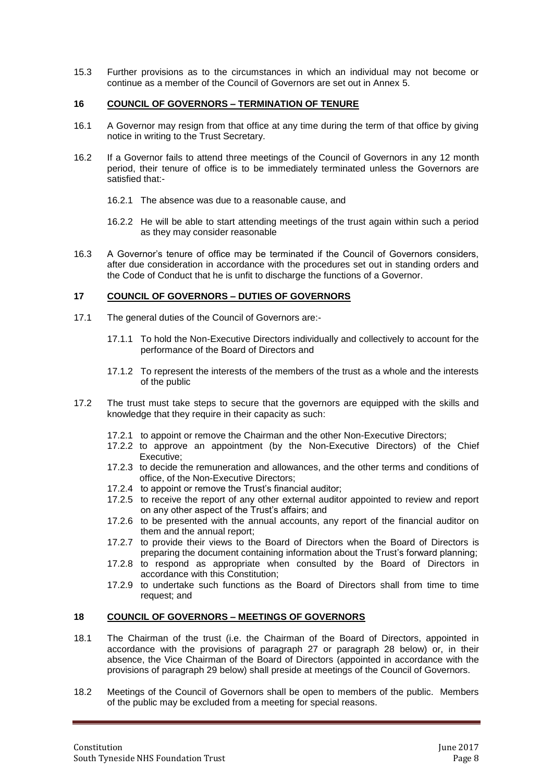15.3 Further provisions as to the circumstances in which an individual may not become or continue as a member of the Council of Governors are set out in Annex 5.

#### <span id="page-7-0"></span>**16 COUNCIL OF GOVERNORS – TERMINATION OF TENURE**

- 16.1 A Governor may resign from that office at any time during the term of that office by giving notice in writing to the Trust Secretary.
- 16.2 If a Governor fails to attend three meetings of the Council of Governors in any 12 month period, their tenure of office is to be immediately terminated unless the Governors are satisfied that:-
	- 16.2.1 The absence was due to a reasonable cause, and
	- 16.2.2 He will be able to start attending meetings of the trust again within such a period as they may consider reasonable
- 16.3 A Governor's tenure of office may be terminated if the Council of Governors considers, after due consideration in accordance with the procedures set out in standing orders and the Code of Conduct that he is unfit to discharge the functions of a Governor.

# <span id="page-7-1"></span>**17 COUNCIL OF GOVERNORS – DUTIES OF GOVERNORS**

- 17.1 The general duties of the Council of Governors are:-
	- 17.1.1 To hold the Non-Executive Directors individually and collectively to account for the performance of the Board of Directors and
	- 17.1.2 To represent the interests of the members of the trust as a whole and the interests of the public
- 17.2 The trust must take steps to secure that the governors are equipped with the skills and knowledge that they require in their capacity as such:
	- 17.2.1 to appoint or remove the Chairman and the other Non-Executive Directors;
	- 17.2.2 to approve an appointment (by the Non-Executive Directors) of the Chief Executive;
	- 17.2.3 to decide the remuneration and allowances, and the other terms and conditions of office, of the Non-Executive Directors;
	- 17.2.4 to appoint or remove the Trust's financial auditor;
	- 17.2.5 to receive the report of any other external auditor appointed to review and report on any other aspect of the Trust's affairs; and
	- 17.2.6 to be presented with the annual accounts, any report of the financial auditor on them and the annual report;
	- 17.2.7 to provide their views to the Board of Directors when the Board of Directors is preparing the document containing information about the Trust's forward planning;
	- 17.2.8 to respond as appropriate when consulted by the Board of Directors in accordance with this Constitution;
	- 17.2.9 to undertake such functions as the Board of Directors shall from time to time request; and

# <span id="page-7-2"></span>**18 COUNCIL OF GOVERNORS – MEETINGS OF GOVERNORS**

- 18.1 The Chairman of the trust (i.e. the Chairman of the Board of Directors, appointed in accordance with the provisions of paragraph 27 or paragraph 28 below) or, in their absence, the Vice Chairman of the Board of Directors (appointed in accordance with the provisions of paragraph 29 below) shall preside at meetings of the Council of Governors.
- 18.2 Meetings of the Council of Governors shall be open to members of the public. Members of the public may be excluded from a meeting for special reasons.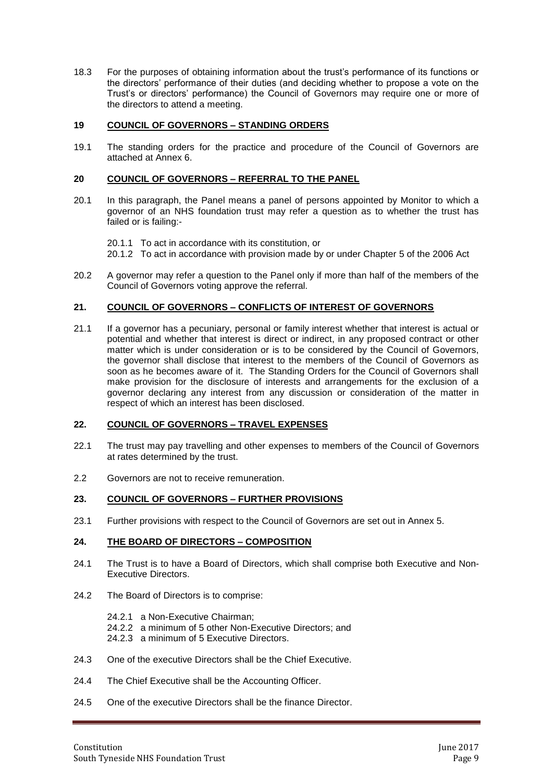18.3 For the purposes of obtaining information about the trust's performance of its functions or the directors' performance of their duties (and deciding whether to propose a vote on the Trust's or directors' performance) the Council of Governors may require one or more of the directors to attend a meeting.

# <span id="page-8-0"></span>**19 COUNCIL OF GOVERNORS – STANDING ORDERS**

19.1 The standing orders for the practice and procedure of the Council of Governors are attached at Annex 6.

#### <span id="page-8-1"></span>**20 COUNCIL OF GOVERNORS – REFERRAL TO THE PANEL**

20.1 In this paragraph, the Panel means a panel of persons appointed by Monitor to which a governor of an NHS foundation trust may refer a question as to whether the trust has failed or is failing:-

20.1.1 To act in accordance with its constitution, or 20.1.2 To act in accordance with provision made by or under Chapter 5 of the 2006 Act

20.2 A governor may refer a question to the Panel only if more than half of the members of the Council of Governors voting approve the referral.

#### <span id="page-8-2"></span>**21. COUNCIL OF GOVERNORS – CONFLICTS OF INTEREST OF GOVERNORS**

21.1 If a governor has a pecuniary, personal or family interest whether that interest is actual or potential and whether that interest is direct or indirect, in any proposed contract or other matter which is under consideration or is to be considered by the Council of Governors, the governor shall disclose that interest to the members of the Council of Governors as soon as he becomes aware of it. The Standing Orders for the Council of Governors shall make provision for the disclosure of interests and arrangements for the exclusion of a governor declaring any interest from any discussion or consideration of the matter in respect of which an interest has been disclosed.

#### <span id="page-8-3"></span>**22. COUNCIL OF GOVERNORS – TRAVEL EXPENSES**

- 22.1 The trust may pay travelling and other expenses to members of the Council of Governors at rates determined by the trust.
- 2.2 Governors are not to receive remuneration.

#### <span id="page-8-4"></span>**23. COUNCIL OF GOVERNORS – FURTHER PROVISIONS**

23.1 Further provisions with respect to the Council of Governors are set out in Annex 5.

#### <span id="page-8-5"></span>**24. THE BOARD OF DIRECTORS – COMPOSITION**

- 24.1 The Trust is to have a Board of Directors, which shall comprise both Executive and Non-Executive Directors.
- 24.2 The Board of Directors is to comprise:
	- 24.2.1 a Non-Executive Chairman;
	- 24.2.2 a minimum of 5 other Non-Executive Directors; and
	- 24.2.3 a minimum of 5 Executive Directors.
- 24.3 One of the executive Directors shall be the Chief Executive.
- 24.4 The Chief Executive shall be the Accounting Officer.
- 24.5 One of the executive Directors shall be the finance Director.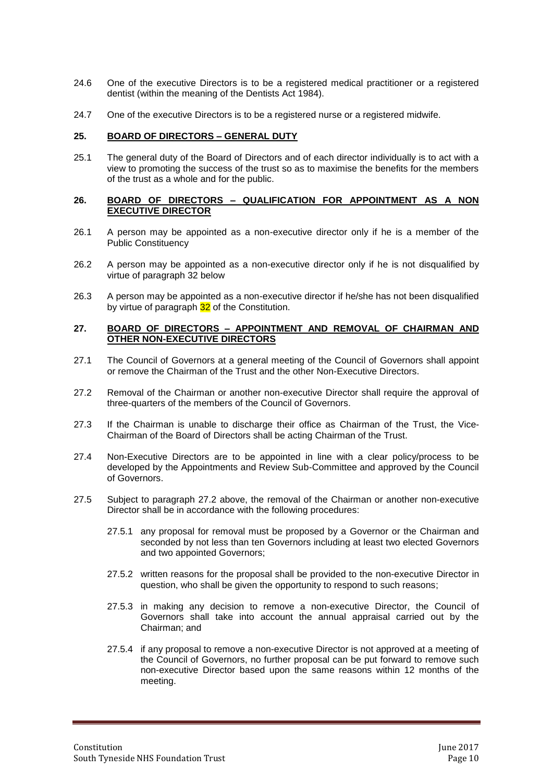- 24.6 One of the executive Directors is to be a registered medical practitioner or a registered dentist (within the meaning of the Dentists Act 1984).
- 24.7 One of the executive Directors is to be a registered nurse or a registered midwife.

#### <span id="page-9-0"></span>**25. BOARD OF DIRECTORS – GENERAL DUTY**

25.1 The general duty of the Board of Directors and of each director individually is to act with a view to promoting the success of the trust so as to maximise the benefits for the members of the trust as a whole and for the public.

#### <span id="page-9-1"></span>**26. BOARD OF DIRECTORS – QUALIFICATION FOR APPOINTMENT AS A NON EXECUTIVE DIRECTOR**

- 26.1 A person may be appointed as a non-executive director only if he is a member of the Public Constituency
- 26.2 A person may be appointed as a non-executive director only if he is not disqualified by virtue of paragraph 32 below
- 26.3 A person may be appointed as a non-executive director if he/she has not been disqualified by virtue of paragraph 32 of the Constitution.

#### <span id="page-9-2"></span>**27. BOARD OF DIRECTORS – APPOINTMENT AND REMOVAL OF CHAIRMAN AND OTHER NON-EXECUTIVE DIRECTORS**

- 27.1 The Council of Governors at a general meeting of the Council of Governors shall appoint or remove the Chairman of the Trust and the other Non-Executive Directors.
- 27.2 Removal of the Chairman or another non-executive Director shall require the approval of three-quarters of the members of the Council of Governors.
- 27.3 If the Chairman is unable to discharge their office as Chairman of the Trust, the Vice-Chairman of the Board of Directors shall be acting Chairman of the Trust.
- 27.4 Non-Executive Directors are to be appointed in line with a clear policy/process to be developed by the Appointments and Review Sub-Committee and approved by the Council of Governors.
- 27.5 Subject to paragraph 27.2 above, the removal of the Chairman or another non-executive Director shall be in accordance with the following procedures:
	- 27.5.1 any proposal for removal must be proposed by a Governor or the Chairman and seconded by not less than ten Governors including at least two elected Governors and two appointed Governors;
	- 27.5.2 written reasons for the proposal shall be provided to the non-executive Director in question, who shall be given the opportunity to respond to such reasons;
	- 27.5.3 in making any decision to remove a non-executive Director, the Council of Governors shall take into account the annual appraisal carried out by the Chairman; and
	- 27.5.4 if any proposal to remove a non-executive Director is not approved at a meeting of the Council of Governors, no further proposal can be put forward to remove such non-executive Director based upon the same reasons within 12 months of the meeting.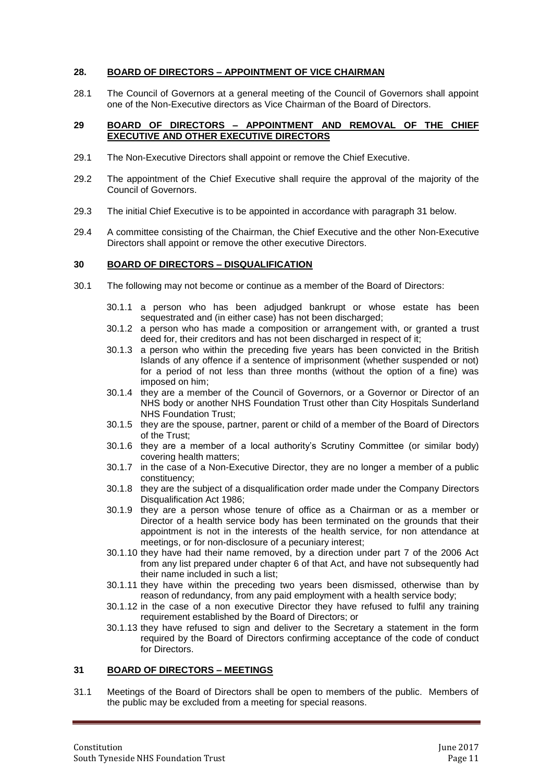### <span id="page-10-0"></span>**28. BOARD OF DIRECTORS – APPOINTMENT OF VICE CHAIRMAN**

28.1 The Council of Governors at a general meeting of the Council of Governors shall appoint one of the Non-Executive directors as Vice Chairman of the Board of Directors.

#### <span id="page-10-1"></span>**29 BOARD OF DIRECTORS – APPOINTMENT AND REMOVAL OF THE CHIEF EXECUTIVE AND OTHER EXECUTIVE DIRECTORS**

- 29.1 The Non-Executive Directors shall appoint or remove the Chief Executive.
- 29.2 The appointment of the Chief Executive shall require the approval of the majority of the Council of Governors.
- 29.3 The initial Chief Executive is to be appointed in accordance with paragraph 31 below.
- 29.4 A committee consisting of the Chairman, the Chief Executive and the other Non-Executive Directors shall appoint or remove the other executive Directors.

#### <span id="page-10-2"></span>**30 BOARD OF DIRECTORS – DISQUALIFICATION**

- 30.1 The following may not become or continue as a member of the Board of Directors:
	- 30.1.1 a person who has been adjudged bankrupt or whose estate has been sequestrated and (in either case) has not been discharged;
	- 30.1.2 a person who has made a composition or arrangement with, or granted a trust deed for, their creditors and has not been discharged in respect of it;
	- 30.1.3 a person who within the preceding five years has been convicted in the British Islands of any offence if a sentence of imprisonment (whether suspended or not) for a period of not less than three months (without the option of a fine) was imposed on him;
	- 30.1.4 they are a member of the Council of Governors, or a Governor or Director of an NHS body or another NHS Foundation Trust other than City Hospitals Sunderland NHS Foundation Trust;
	- 30.1.5 they are the spouse, partner, parent or child of a member of the Board of Directors of the Trust;
	- 30.1.6 they are a member of a local authority's Scrutiny Committee (or similar body) covering health matters;
	- 30.1.7 in the case of a Non-Executive Director, they are no longer a member of a public constituency;
	- 30.1.8 they are the subject of a disqualification order made under the Company Directors Disqualification Act 1986;
	- 30.1.9 they are a person whose tenure of office as a Chairman or as a member or Director of a health service body has been terminated on the grounds that their appointment is not in the interests of the health service, for non attendance at meetings, or for non-disclosure of a pecuniary interest;
	- 30.1.10 they have had their name removed, by a direction under part 7 of the 2006 Act from any list prepared under chapter 6 of that Act, and have not subsequently had their name included in such a list;
	- 30.1.11 they have within the preceding two years been dismissed, otherwise than by reason of redundancy, from any paid employment with a health service body;
	- 30.1.12 in the case of a non executive Director they have refused to fulfil any training requirement established by the Board of Directors; or
	- 30.1.13 they have refused to sign and deliver to the Secretary a statement in the form required by the Board of Directors confirming acceptance of the code of conduct for Directors.

#### <span id="page-10-3"></span>**31 BOARD OF DIRECTORS – MEETINGS**

31.1 Meetings of the Board of Directors shall be open to members of the public. Members of the public may be excluded from a meeting for special reasons.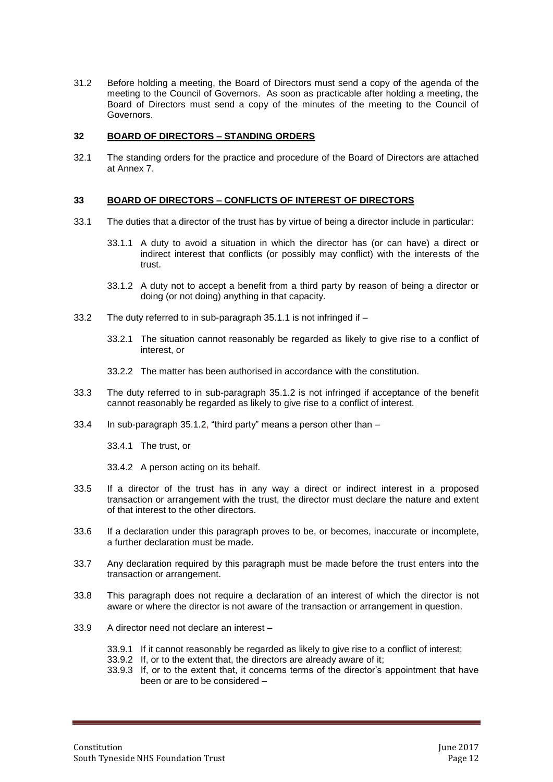31.2 Before holding a meeting, the Board of Directors must send a copy of the agenda of the meeting to the Council of Governors. As soon as practicable after holding a meeting, the Board of Directors must send a copy of the minutes of the meeting to the Council of Governors.

#### <span id="page-11-0"></span>**32 BOARD OF DIRECTORS – STANDING ORDERS**

32.1 The standing orders for the practice and procedure of the Board of Directors are attached at Annex 7.

#### <span id="page-11-1"></span>**33 BOARD OF DIRECTORS – CONFLICTS OF INTEREST OF DIRECTORS**

- 33.1 The duties that a director of the trust has by virtue of being a director include in particular:
	- 33.1.1 A duty to avoid a situation in which the director has (or can have) a direct or indirect interest that conflicts (or possibly may conflict) with the interests of the trust.
	- 33.1.2 A duty not to accept a benefit from a third party by reason of being a director or doing (or not doing) anything in that capacity.
- 33.2 The duty referred to in sub-paragraph 35.1.1 is not infringed if
	- 33.2.1 The situation cannot reasonably be regarded as likely to give rise to a conflict of interest, or
	- 33.2.2 The matter has been authorised in accordance with the constitution.
- 33.3 The duty referred to in sub-paragraph 35.1.2 is not infringed if acceptance of the benefit cannot reasonably be regarded as likely to give rise to a conflict of interest.
- 33.4 In sub-paragraph 35.1.2, "third party" means a person other than –

33.4.1 The trust, or

33.4.2 A person acting on its behalf.

- 33.5 If a director of the trust has in any way a direct or indirect interest in a proposed transaction or arrangement with the trust, the director must declare the nature and extent of that interest to the other directors.
- 33.6 If a declaration under this paragraph proves to be, or becomes, inaccurate or incomplete, a further declaration must be made.
- 33.7 Any declaration required by this paragraph must be made before the trust enters into the transaction or arrangement.
- 33.8 This paragraph does not require a declaration of an interest of which the director is not aware or where the director is not aware of the transaction or arrangement in question.
- 33.9 A director need not declare an interest
	- 33.9.1 If it cannot reasonably be regarded as likely to give rise to a conflict of interest;
	- 33.9.2 If, or to the extent that, the directors are already aware of it;
	- 33.9.3 If, or to the extent that, it concerns terms of the director's appointment that have been or are to be considered –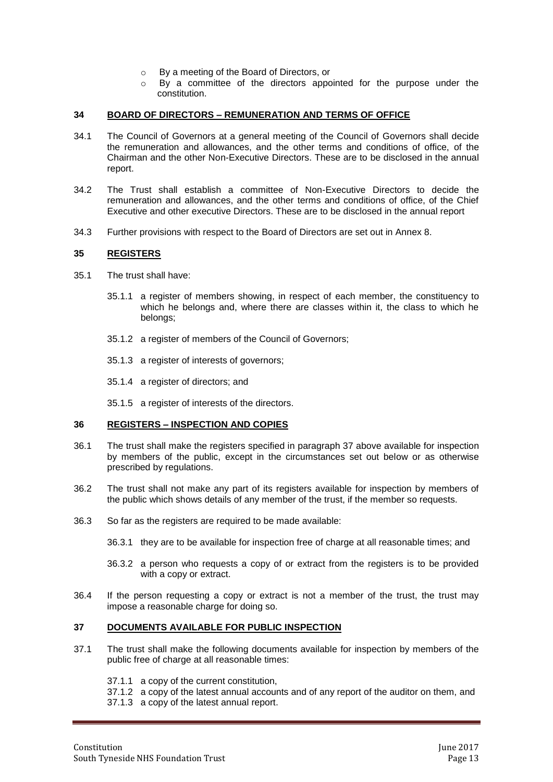- o By a meeting of the Board of Directors, or
- o By a committee of the directors appointed for the purpose under the constitution.

#### <span id="page-12-0"></span>**34 BOARD OF DIRECTORS – REMUNERATION AND TERMS OF OFFICE**

- 34.1 The Council of Governors at a general meeting of the Council of Governors shall decide the remuneration and allowances, and the other terms and conditions of office, of the Chairman and the other Non-Executive Directors. These are to be disclosed in the annual report.
- 34.2 The Trust shall establish a committee of Non-Executive Directors to decide the remuneration and allowances, and the other terms and conditions of office, of the Chief Executive and other executive Directors. These are to be disclosed in the annual report
- 34.3 Further provisions with respect to the Board of Directors are set out in Annex 8.

#### <span id="page-12-1"></span>**35 REGISTERS**

- 35.1 The trust shall have:
	- 35.1.1 a register of members showing, in respect of each member, the constituency to which he belongs and, where there are classes within it, the class to which he belongs;
	- 35.1.2 a register of members of the Council of Governors;
	- 35.1.3 a register of interests of governors;
	- 35.1.4 a register of directors; and

35.1.5 a register of interests of the directors.

#### <span id="page-12-2"></span>**36 REGISTERS – INSPECTION AND COPIES**

- 36.1 The trust shall make the registers specified in paragraph 37 above available for inspection by members of the public, except in the circumstances set out below or as otherwise prescribed by regulations.
- 36.2 The trust shall not make any part of its registers available for inspection by members of the public which shows details of any member of the trust, if the member so requests.
- 36.3 So far as the registers are required to be made available:
	- 36.3.1 they are to be available for inspection free of charge at all reasonable times; and
	- 36.3.2 a person who requests a copy of or extract from the registers is to be provided with a copy or extract.
- 36.4 If the person requesting a copy or extract is not a member of the trust, the trust may impose a reasonable charge for doing so.

#### <span id="page-12-3"></span>**37 DOCUMENTS AVAILABLE FOR PUBLIC INSPECTION**

- 37.1 The trust shall make the following documents available for inspection by members of the public free of charge at all reasonable times:
	- 37.1.1 a copy of the current constitution,

37.1.2 a copy of the latest annual accounts and of any report of the auditor on them, and

37.1.3 a copy of the latest annual report.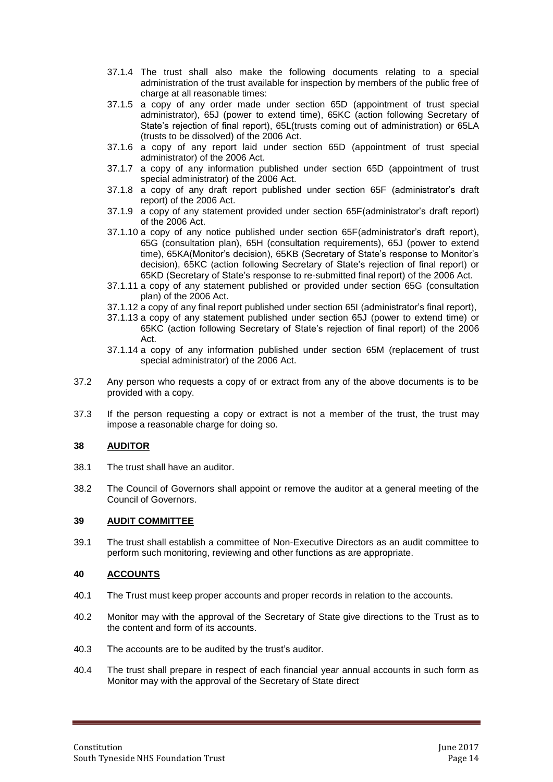- 37.1.4 The trust shall also make the following documents relating to a special administration of the trust available for inspection by members of the public free of charge at all reasonable times:
- 37.1.5 a copy of any order made under section 65D (appointment of trust special administrator), 65J (power to extend time), 65KC (action following Secretary of State's rejection of final report), 65L(trusts coming out of administration) or 65LA (trusts to be dissolved) of the 2006 Act.
- 37.1.6 a copy of any report laid under section 65D (appointment of trust special administrator) of the 2006 Act.
- 37.1.7 a copy of any information published under section 65D (appointment of trust special administrator) of the 2006 Act.
- 37.1.8 a copy of any draft report published under section 65F (administrator's draft report) of the 2006 Act.
- 37.1.9 a copy of any statement provided under section 65F(administrator's draft report) of the 2006 Act.
- 37.1.10 a copy of any notice published under section 65F(administrator's draft report), 65G (consultation plan), 65H (consultation requirements), 65J (power to extend time), 65KA(Monitor's decision), 65KB (Secretary of State's response to Monitor's decision), 65KC (action following Secretary of State's rejection of final report) or 65KD (Secretary of State's response to re-submitted final report) of the 2006 Act.
- 37.1.11 a copy of any statement published or provided under section 65G (consultation plan) of the 2006 Act.
- 37.1.12 a copy of any final report published under section 65I (administrator's final report),
- 37.1.13 a copy of any statement published under section 65J (power to extend time) or 65KC (action following Secretary of State's rejection of final report) of the 2006 Act.
- 37.1.14 a copy of any information published under section 65M (replacement of trust special administrator) of the 2006 Act.
- 37.2 Any person who requests a copy of or extract from any of the above documents is to be provided with a copy.
- 37.3 If the person requesting a copy or extract is not a member of the trust, the trust may impose a reasonable charge for doing so.

#### <span id="page-13-0"></span>**38 AUDITOR**

- 38.1 The trust shall have an auditor.
- 38.2 The Council of Governors shall appoint or remove the auditor at a general meeting of the Council of Governors.

#### <span id="page-13-1"></span>**39 AUDIT COMMITTEE**

39.1 The trust shall establish a committee of Non-Executive Directors as an audit committee to perform such monitoring, reviewing and other functions as are appropriate.

#### <span id="page-13-2"></span>**40 ACCOUNTS**

- 40.1 The Trust must keep proper accounts and proper records in relation to the accounts.
- 40.2 Monitor may with the approval of the Secretary of State give directions to the Trust as to the content and form of its accounts.
- 40.3 The accounts are to be audited by the trust's auditor.
- 40.4 The trust shall prepare in respect of each financial year annual accounts in such form as Monitor may with the approval of the Secretary of State direct.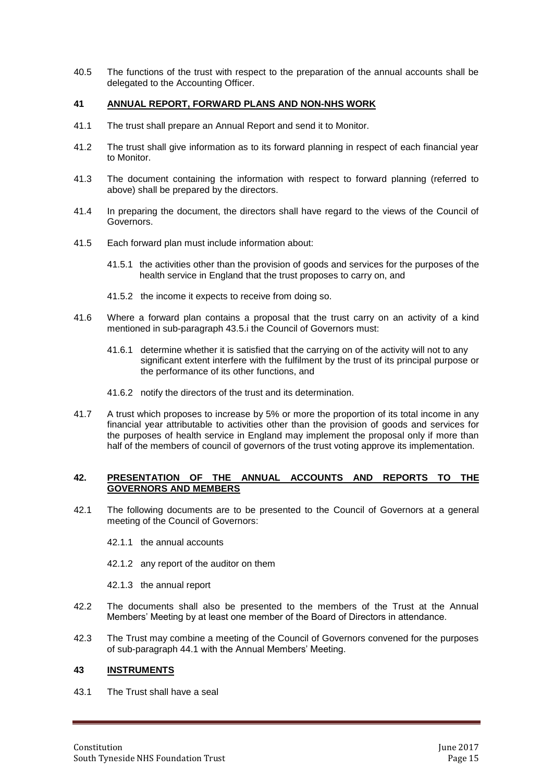40.5 The functions of the trust with respect to the preparation of the annual accounts shall be delegated to the Accounting Officer.

#### <span id="page-14-0"></span>**41 ANNUAL REPORT, FORWARD PLANS AND NON-NHS WORK**

- 41.1 The trust shall prepare an Annual Report and send it to Monitor.
- 41.2 The trust shall give information as to its forward planning in respect of each financial year to Monitor.
- 41.3 The document containing the information with respect to forward planning (referred to above) shall be prepared by the directors.
- 41.4 In preparing the document, the directors shall have regard to the views of the Council of Governors.
- 41.5 Each forward plan must include information about:
	- 41.5.1 the activities other than the provision of goods and services for the purposes of the health service in England that the trust proposes to carry on, and
	- 41.5.2 the income it expects to receive from doing so.
- 41.6 Where a forward plan contains a proposal that the trust carry on an activity of a kind mentioned in sub-paragraph 43.5.i the Council of Governors must:
	- 41.6.1 determine whether it is satisfied that the carrying on of the activity will not to any significant extent interfere with the fulfilment by the trust of its principal purpose or the performance of its other functions, and
	- 41.6.2 notify the directors of the trust and its determination.
- 41.7 A trust which proposes to increase by 5% or more the proportion of its total income in any financial year attributable to activities other than the provision of goods and services for the purposes of health service in England may implement the proposal only if more than half of the members of council of governors of the trust voting approve its implementation.

#### <span id="page-14-1"></span>**42. PRESENTATION OF THE ANNUAL ACCOUNTS AND REPORTS TO THE GOVERNORS AND MEMBERS**

- 42.1 The following documents are to be presented to the Council of Governors at a general meeting of the Council of Governors:
	- 42.1.1 the annual accounts
	- 42.1.2 any report of the auditor on them
	- 42.1.3 the annual report
- 42.2 The documents shall also be presented to the members of the Trust at the Annual Members' Meeting by at least one member of the Board of Directors in attendance.
- 42.3 The Trust may combine a meeting of the Council of Governors convened for the purposes of sub-paragraph 44.1 with the Annual Members' Meeting.

#### <span id="page-14-2"></span>**43 INSTRUMENTS**

43.1 The Trust shall have a seal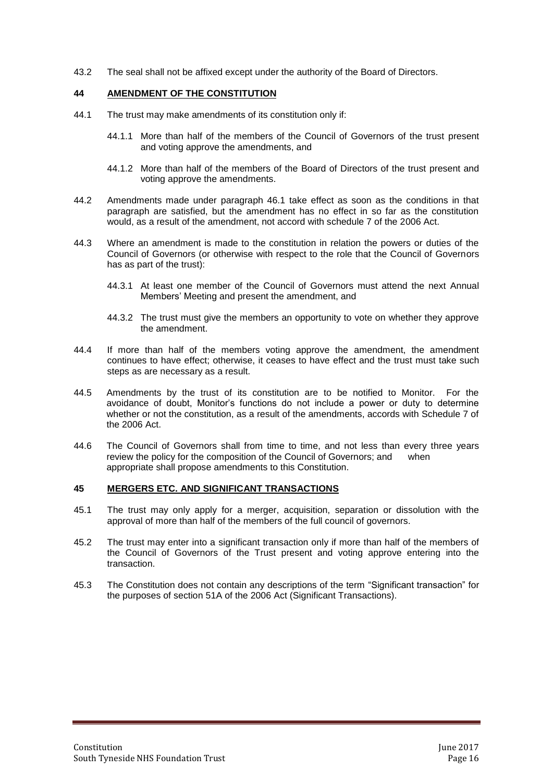43.2 The seal shall not be affixed except under the authority of the Board of Directors.

#### <span id="page-15-0"></span>**44 AMENDMENT OF THE CONSTITUTION**

- 44.1 The trust may make amendments of its constitution only if:
	- 44.1.1 More than half of the members of the Council of Governors of the trust present and voting approve the amendments, and
	- 44.1.2 More than half of the members of the Board of Directors of the trust present and voting approve the amendments.
- 44.2 Amendments made under paragraph 46.1 take effect as soon as the conditions in that paragraph are satisfied, but the amendment has no effect in so far as the constitution would, as a result of the amendment, not accord with schedule 7 of the 2006 Act.
- 44.3 Where an amendment is made to the constitution in relation the powers or duties of the Council of Governors (or otherwise with respect to the role that the Council of Governors has as part of the trust):
	- 44.3.1 At least one member of the Council of Governors must attend the next Annual Members' Meeting and present the amendment, and
	- 44.3.2 The trust must give the members an opportunity to vote on whether they approve the amendment.
- 44.4 If more than half of the members voting approve the amendment, the amendment continues to have effect; otherwise, it ceases to have effect and the trust must take such steps as are necessary as a result.
- 44.5 Amendments by the trust of its constitution are to be notified to Monitor. For the avoidance of doubt, Monitor's functions do not include a power or duty to determine whether or not the constitution, as a result of the amendments, accords with Schedule 7 of the 2006 Act.
- 44.6 The Council of Governors shall from time to time, and not less than every three years review the policy for the composition of the Council of Governors; and when appropriate shall propose amendments to this Constitution.

#### <span id="page-15-1"></span>**45 MERGERS ETC. AND SIGNIFICANT TRANSACTIONS**

- 45.1 The trust may only apply for a merger, acquisition, separation or dissolution with the approval of more than half of the members of the full council of governors.
- 45.2 The trust may enter into a significant transaction only if more than half of the members of the Council of Governors of the Trust present and voting approve entering into the transaction.
- 45.3 The Constitution does not contain any descriptions of the term "Significant transaction" for the purposes of section 51A of the 2006 Act (Significant Transactions).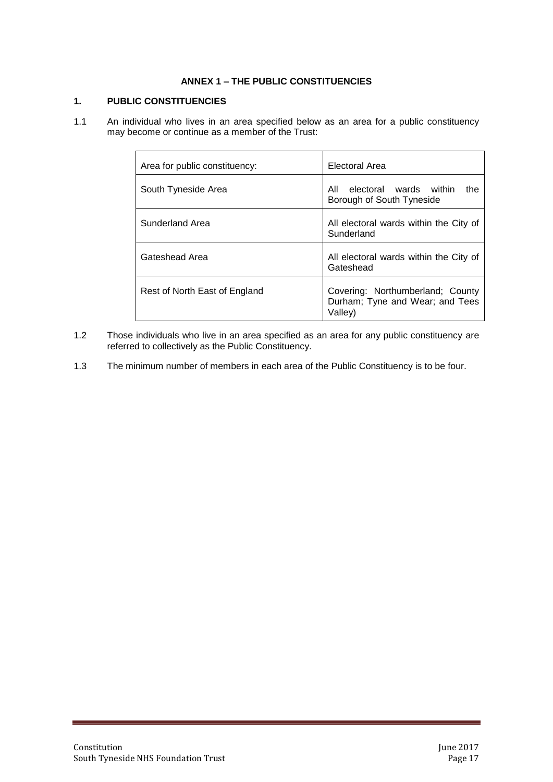# **ANNEX 1 – THE PUBLIC CONSTITUENCIES**

# <span id="page-16-0"></span>**1. PUBLIC CONSTITUENCIES**

1.1 An individual who lives in an area specified below as an area for a public constituency may become or continue as a member of the Trust:

| Area for public constituency: | Electoral Area                                                                 |
|-------------------------------|--------------------------------------------------------------------------------|
| South Tyneside Area           | electoral wards within<br>All<br>the<br>Borough of South Tyneside              |
| Sunderland Area               | All electoral wards within the City of<br>Sunderland                           |
| Gateshead Area                | All electoral wards within the City of<br>Gateshead                            |
| Rest of North East of England | Covering: Northumberland: County<br>Durham; Tyne and Wear; and Tees<br>Valley) |

- 1.2 Those individuals who live in an area specified as an area for any public constituency are referred to collectively as the Public Constituency.
- 1.3 The minimum number of members in each area of the Public Constituency is to be four.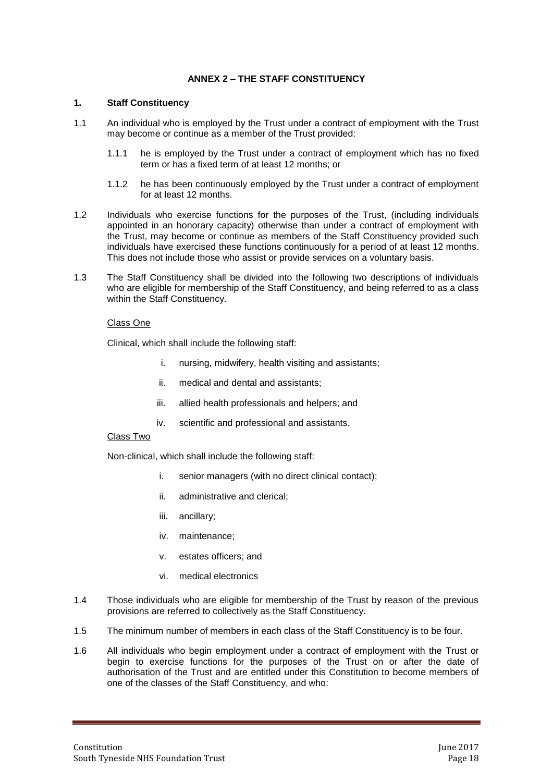# **ANNEX 2 – THE STAFF CONSTITUENCY**

#### <span id="page-17-0"></span>**1. Staff Constituency**

- 1.1 An individual who is employed by the Trust under a contract of employment with the Trust may become or continue as a member of the Trust provided:
	- 1.1.1 he is employed by the Trust under a contract of employment which has no fixed term or has a fixed term of at least 12 months; or
	- 1.1.2 he has been continuously employed by the Trust under a contract of employment for at least 12 months.
- 1.2 Individuals who exercise functions for the purposes of the Trust, (including individuals appointed in an honorary capacity) otherwise than under a contract of employment with the Trust, may become or continue as members of the Staff Constituency provided such individuals have exercised these functions continuously for a period of at least 12 months. This does not include those who assist or provide services on a voluntary basis.
- 1.3 The Staff Constituency shall be divided into the following two descriptions of individuals who are eligible for membership of the Staff Constituency, and being referred to as a class within the Staff Constituency.

#### Class One

Clinical, which shall include the following staff:

- i. nursing, midwifery, health visiting and assistants;
- ii. medical and dental and assistants;
- iii. allied health professionals and helpers; and
- iv. scientific and professional and assistants.

#### Class Two

Non-clinical, which shall include the following staff:

- i. senior managers (with no direct clinical contact);
- ii. administrative and clerical;
- iii. ancillary;
- iv. maintenance;
- v. estates officers; and
- vi. medical electronics
- 1.4 Those individuals who are eligible for membership of the Trust by reason of the previous provisions are referred to collectively as the Staff Constituency.
- 1.5 The minimum number of members in each class of the Staff Constituency is to be four.
- 1.6 All individuals who begin employment under a contract of employment with the Trust or begin to exercise functions for the purposes of the Trust on or after the date of authorisation of the Trust and are entitled under this Constitution to become members of one of the classes of the Staff Constituency, and who: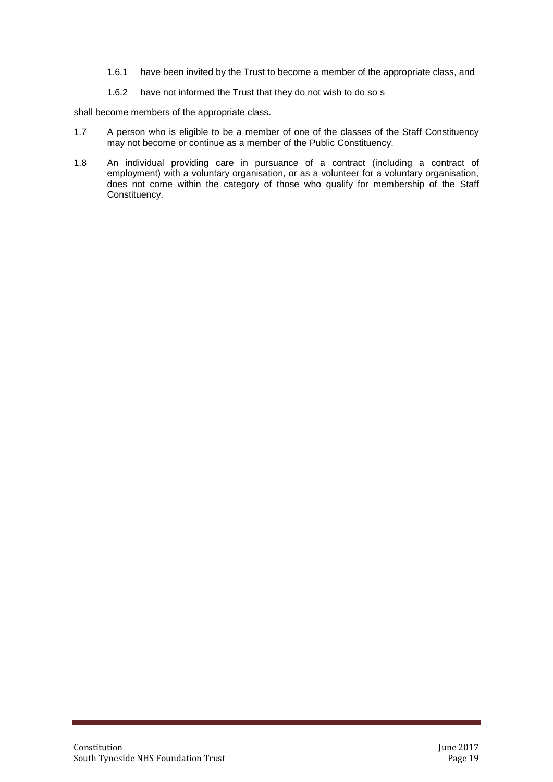- 1.6.1 have been invited by the Trust to become a member of the appropriate class, and
- 1.6.2 have not informed the Trust that they do not wish to do so s

shall become members of the appropriate class.

- 1.7 A person who is eligible to be a member of one of the classes of the Staff Constituency may not become or continue as a member of the Public Constituency.
- 1.8 An individual providing care in pursuance of a contract (including a contract of employment) with a voluntary organisation, or as a volunteer for a voluntary organisation, does not come within the category of those who qualify for membership of the Staff Constituency.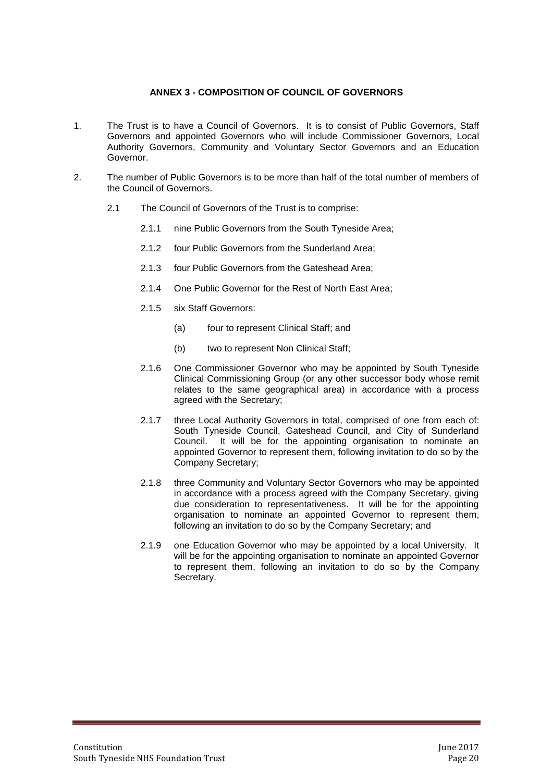## **ANNEX 3 - COMPOSITION OF COUNCIL OF GOVERNORS**

- <span id="page-19-0"></span>1. The Trust is to have a Council of Governors. It is to consist of Public Governors, Staff Governors and appointed Governors who will include Commissioner Governors, Local Authority Governors, Community and Voluntary Sector Governors and an Education Governor.
- 2. The number of Public Governors is to be more than half of the total number of members of the Council of Governors.
	- 2.1 The Council of Governors of the Trust is to comprise:
		- 2.1.1 nine Public Governors from the South Tyneside Area;
		- 2.1.2 four Public Governors from the Sunderland Area;
		- 2.1.3 four Public Governors from the Gateshead Area;
		- 2.1.4 One Public Governor for the Rest of North East Area;
		- 2.1.5 six Staff Governors:
			- (a) four to represent Clinical Staff; and
			- (b) two to represent Non Clinical Staff;
		- 2.1.6 One Commissioner Governor who may be appointed by South Tyneside Clinical Commissioning Group (or any other successor body whose remit relates to the same geographical area) in accordance with a process agreed with the Secretary;
		- 2.1.7 three Local Authority Governors in total, comprised of one from each of: South Tyneside Council, Gateshead Council, and City of Sunderland Council. It will be for the appointing organisation to nominate an appointed Governor to represent them, following invitation to do so by the Company Secretary;
		- 2.1.8 three Community and Voluntary Sector Governors who may be appointed in accordance with a process agreed with the Company Secretary, giving due consideration to representativeness. It will be for the appointing organisation to nominate an appointed Governor to represent them, following an invitation to do so by the Company Secretary; and
		- 2.1.9 one Education Governor who may be appointed by a local University. It will be for the appointing organisation to nominate an appointed Governor to represent them, following an invitation to do so by the Company Secretary.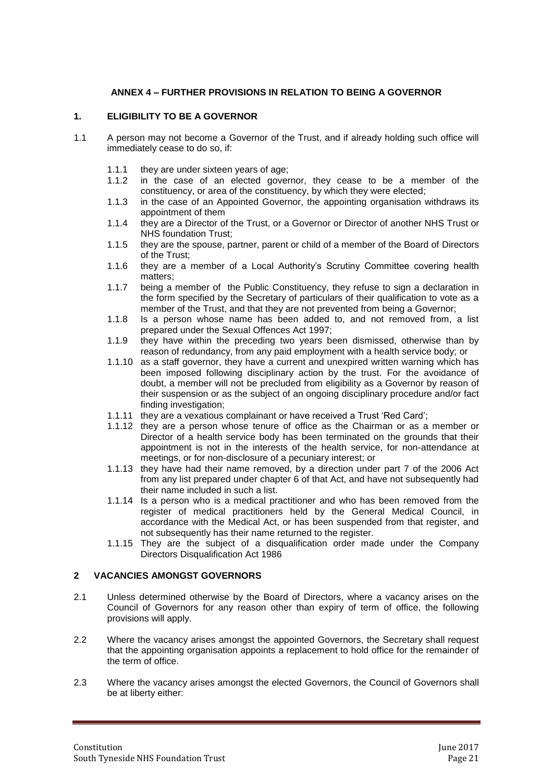# **ANNEX 4 – FURTHER PROVISIONS IN RELATION TO BEING A GOVERNOR**

#### <span id="page-20-0"></span>**1. ELIGIBILITY TO BE A GOVERNOR**

- 1.1 A person may not become a Governor of the Trust, and if already holding such office will immediately cease to do so, if:
	- 1.1.1 they are under sixteen years of age;
	- 1.1.2 in the case of an elected governor, they cease to be a member of the constituency, or area of the constituency, by which they were elected;
	- 1.1.3 in the case of an Appointed Governor, the appointing organisation withdraws its appointment of them
	- 1.1.4 they are a Director of the Trust, or a Governor or Director of another NHS Trust or NHS foundation Trust;
	- 1.1.5 they are the spouse, partner, parent or child of a member of the Board of Directors of the Trust;
	- 1.1.6 they are a member of a Local Authority's Scrutiny Committee covering health matters;
	- 1.1.7 being a member of the Public Constituency, they refuse to sign a declaration in the form specified by the Secretary of particulars of their qualification to vote as a member of the Trust, and that they are not prevented from being a Governor;
	- 1.1.8 Is a person whose name has been added to, and not removed from, a list prepared under the Sexual Offences Act 1997;
	- 1.1.9 they have within the preceding two years been dismissed, otherwise than by reason of redundancy, from any paid employment with a health service body; or
	- 1.1.10 as a staff governor, they have a current and unexpired written warning which has been imposed following disciplinary action by the trust. For the avoidance of doubt, a member will not be precluded from eligibility as a Governor by reason of their suspension or as the subject of an ongoing disciplinary procedure and/or fact finding investigation;
	- 1.1.11 they are a vexatious complainant or have received a Trust 'Red Card';
	- 1.1.12 they are a person whose tenure of office as the Chairman or as a member or Director of a health service body has been terminated on the grounds that their appointment is not in the interests of the health service, for non-attendance at meetings, or for non-disclosure of a pecuniary interest; or
	- 1.1.13 they have had their name removed, by a direction under part 7 of the 2006 Act from any list prepared under chapter 6 of that Act, and have not subsequently had their name included in such a list.
	- 1.1.14 Is a person who is a medical practitioner and who has been removed from the register of medical practitioners held by the General Medical Council, in accordance with the Medical Act, or has been suspended from that register, and not subsequently has their name returned to the register.
	- 1.1.15 They are the subject of a disqualification order made under the Company Directors Disqualification Act 1986

#### **2 VACANCIES AMONGST GOVERNORS**

- 2.1 Unless determined otherwise by the Board of Directors, where a vacancy arises on the Council of Governors for any reason other than expiry of term of office, the following provisions will apply.
- 2.2 Where the vacancy arises amongst the appointed Governors, the Secretary shall request that the appointing organisation appoints a replacement to hold office for the remainder of the term of office.
- 2.3 Where the vacancy arises amongst the elected Governors, the Council of Governors shall be at liberty either: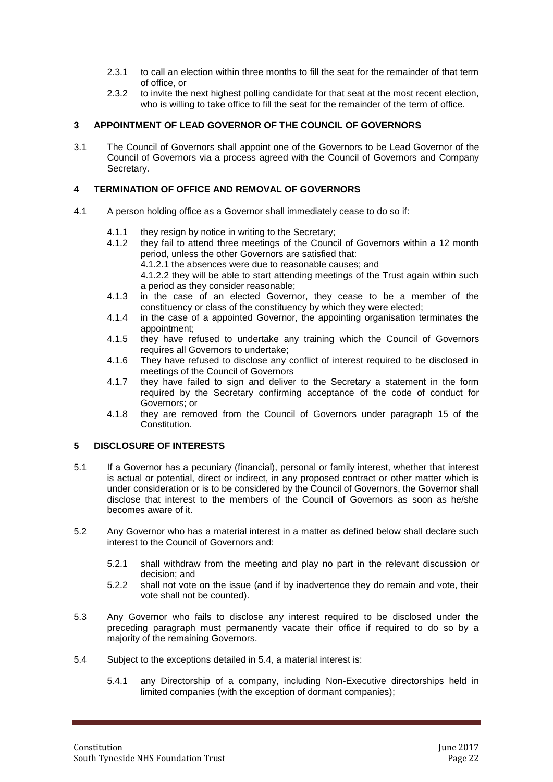- 2.3.1 to call an election within three months to fill the seat for the remainder of that term of office, or
- 2.3.2 to invite the next highest polling candidate for that seat at the most recent election, who is willing to take office to fill the seat for the remainder of the term of office.

# **3 APPOINTMENT OF LEAD GOVERNOR OF THE COUNCIL OF GOVERNORS**

3.1 The Council of Governors shall appoint one of the Governors to be Lead Governor of the Council of Governors via a process agreed with the Council of Governors and Company Secretary.

#### **4 TERMINATION OF OFFICE AND REMOVAL OF GOVERNORS**

- 4.1 A person holding office as a Governor shall immediately cease to do so if:
	- 4.1.1 they resign by notice in writing to the Secretary;
	- 4.1.2 they fail to attend three meetings of the Council of Governors within a 12 month period, unless the other Governors are satisfied that:
		- 4.1.2.1 the absences were due to reasonable causes; and
		- 4.1.2.2 they will be able to start attending meetings of the Trust again within such a period as they consider reasonable;
	- 4.1.3 in the case of an elected Governor, they cease to be a member of the constituency or class of the constituency by which they were elected;
	- 4.1.4 in the case of a appointed Governor, the appointing organisation terminates the appointment;
	- 4.1.5 they have refused to undertake any training which the Council of Governors requires all Governors to undertake;
	- 4.1.6 They have refused to disclose any conflict of interest required to be disclosed in meetings of the Council of Governors
	- 4.1.7 they have failed to sign and deliver to the Secretary a statement in the form required by the Secretary confirming acceptance of the code of conduct for Governors; or
	- 4.1.8 they are removed from the Council of Governors under paragraph 15 of the Constitution.

#### **5 DISCLOSURE OF INTERESTS**

- 5.1 If a Governor has a pecuniary (financial), personal or family interest, whether that interest is actual or potential, direct or indirect, in any proposed contract or other matter which is under consideration or is to be considered by the Council of Governors, the Governor shall disclose that interest to the members of the Council of Governors as soon as he/she becomes aware of it.
- 5.2 Any Governor who has a material interest in a matter as defined below shall declare such interest to the Council of Governors and:
	- 5.2.1 shall withdraw from the meeting and play no part in the relevant discussion or decision; and
	- 5.2.2 shall not vote on the issue (and if by inadvertence they do remain and vote, their vote shall not be counted).
- 5.3 Any Governor who fails to disclose any interest required to be disclosed under the preceding paragraph must permanently vacate their office if required to do so by a majority of the remaining Governors.
- 5.4 Subject to the exceptions detailed in 5.4, a material interest is:
	- 5.4.1 any Directorship of a company, including Non-Executive directorships held in limited companies (with the exception of dormant companies);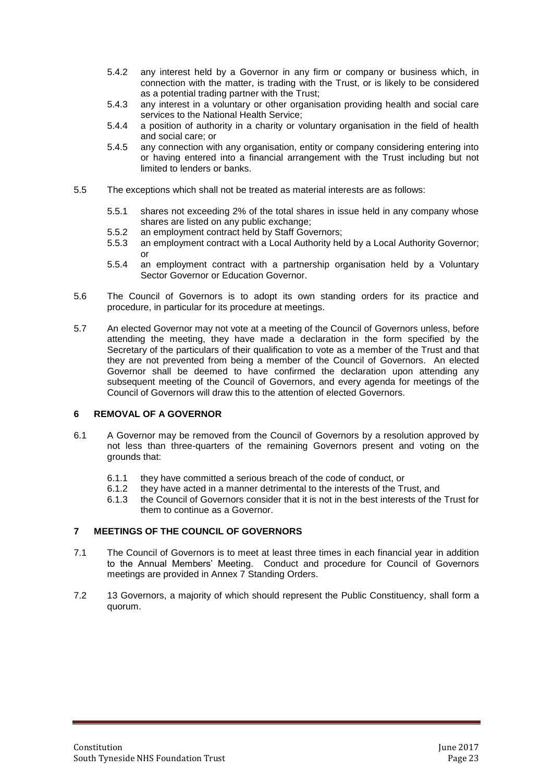- 5.4.2 any interest held by a Governor in any firm or company or business which, in connection with the matter, is trading with the Trust, or is likely to be considered as a potential trading partner with the Trust;
- 5.4.3 any interest in a voluntary or other organisation providing health and social care services to the National Health Service;
- 5.4.4 a position of authority in a charity or voluntary organisation in the field of health and social care; or
- 5.4.5 any connection with any organisation, entity or company considering entering into or having entered into a financial arrangement with the Trust including but not limited to lenders or banks.
- 5.5 The exceptions which shall not be treated as material interests are as follows:
	- 5.5.1 shares not exceeding 2% of the total shares in issue held in any company whose shares are listed on any public exchange;
	- 5.5.2 an employment contract held by Staff Governors;
	- 5.5.3 an employment contract with a Local Authority held by a Local Authority Governor; or
	- 5.5.4 an employment contract with a partnership organisation held by a Voluntary Sector Governor or Education Governor.
- 5.6 The Council of Governors is to adopt its own standing orders for its practice and procedure, in particular for its procedure at meetings.
- 5.7 An elected Governor may not vote at a meeting of the Council of Governors unless, before attending the meeting, they have made a declaration in the form specified by the Secretary of the particulars of their qualification to vote as a member of the Trust and that they are not prevented from being a member of the Council of Governors. An elected Governor shall be deemed to have confirmed the declaration upon attending any subsequent meeting of the Council of Governors, and every agenda for meetings of the Council of Governors will draw this to the attention of elected Governors.

#### **6 REMOVAL OF A GOVERNOR**

- 6.1 A Governor may be removed from the Council of Governors by a resolution approved by not less than three-quarters of the remaining Governors present and voting on the grounds that:
	- 6.1.1 they have committed a serious breach of the code of conduct, or
	- 6.1.2 they have acted in a manner detrimental to the interests of the Trust, and
	- 6.1.3 the Council of Governors consider that it is not in the best interests of the Trust for them to continue as a Governor.

#### **7 MEETINGS OF THE COUNCIL OF GOVERNORS**

- 7.1 The Council of Governors is to meet at least three times in each financial year in addition to the Annual Members' Meeting. Conduct and procedure for Council of Governors meetings are provided in Annex 7 Standing Orders.
- 7.2 13 Governors, a majority of which should represent the Public Constituency, shall form a quorum.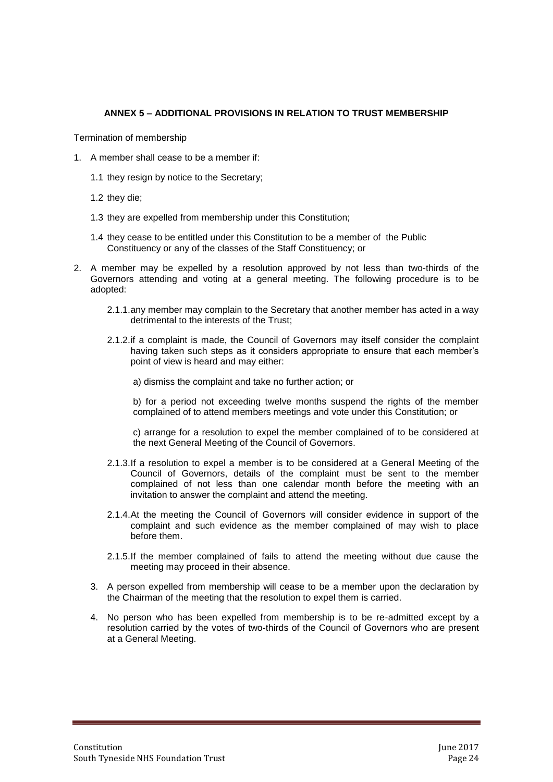# <span id="page-23-0"></span>**ANNEX 5 – ADDITIONAL PROVISIONS IN RELATION TO TRUST MEMBERSHIP**

Termination of membership

- 1. A member shall cease to be a member if:
	- 1.1 they resign by notice to the Secretary;
	- 1.2 they die;
	- 1.3 they are expelled from membership under this Constitution;
	- 1.4 they cease to be entitled under this Constitution to be a member of the Public Constituency or any of the classes of the Staff Constituency; or
- 2. A member may be expelled by a resolution approved by not less than two-thirds of the Governors attending and voting at a general meeting. The following procedure is to be adopted:
	- 2.1.1.any member may complain to the Secretary that another member has acted in a way detrimental to the interests of the Trust;
	- 2.1.2.if a complaint is made, the Council of Governors may itself consider the complaint having taken such steps as it considers appropriate to ensure that each member's point of view is heard and may either:

a) dismiss the complaint and take no further action; or

b) for a period not exceeding twelve months suspend the rights of the member complained of to attend members meetings and vote under this Constitution; or

c) arrange for a resolution to expel the member complained of to be considered at the next General Meeting of the Council of Governors.

- 2.1.3.If a resolution to expel a member is to be considered at a General Meeting of the Council of Governors, details of the complaint must be sent to the member complained of not less than one calendar month before the meeting with an invitation to answer the complaint and attend the meeting.
- 2.1.4.At the meeting the Council of Governors will consider evidence in support of the complaint and such evidence as the member complained of may wish to place before them.
- 2.1.5.If the member complained of fails to attend the meeting without due cause the meeting may proceed in their absence.
- 3. A person expelled from membership will cease to be a member upon the declaration by the Chairman of the meeting that the resolution to expel them is carried.
- 4. No person who has been expelled from membership is to be re-admitted except by a resolution carried by the votes of two-thirds of the Council of Governors who are present at a General Meeting.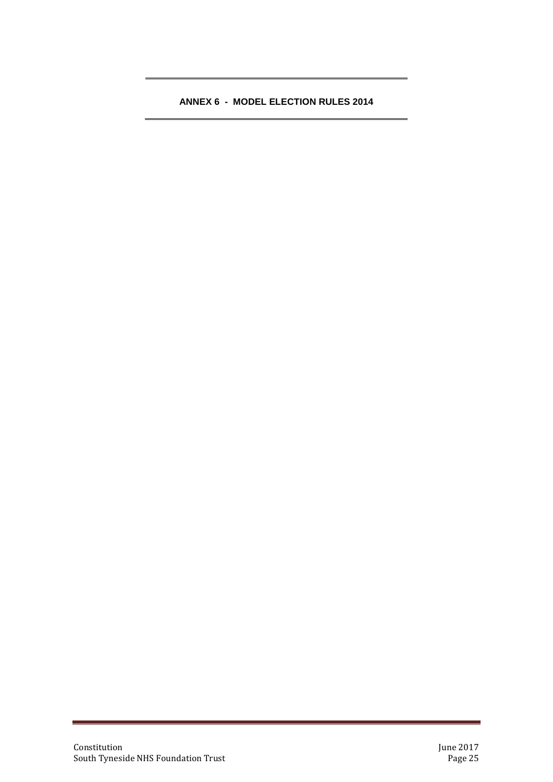# <span id="page-24-0"></span>**ANNEX 6 - MODEL ELECTION RULES 2014**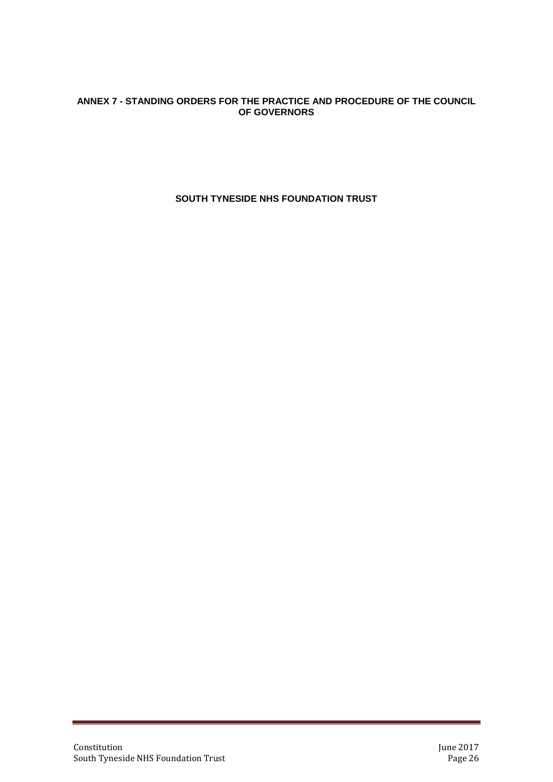# <span id="page-25-0"></span>**ANNEX 7 - STANDING ORDERS FOR THE PRACTICE AND PROCEDURE OF THE COUNCIL OF GOVERNORS**

**SOUTH TYNESIDE NHS FOUNDATION TRUST**

a.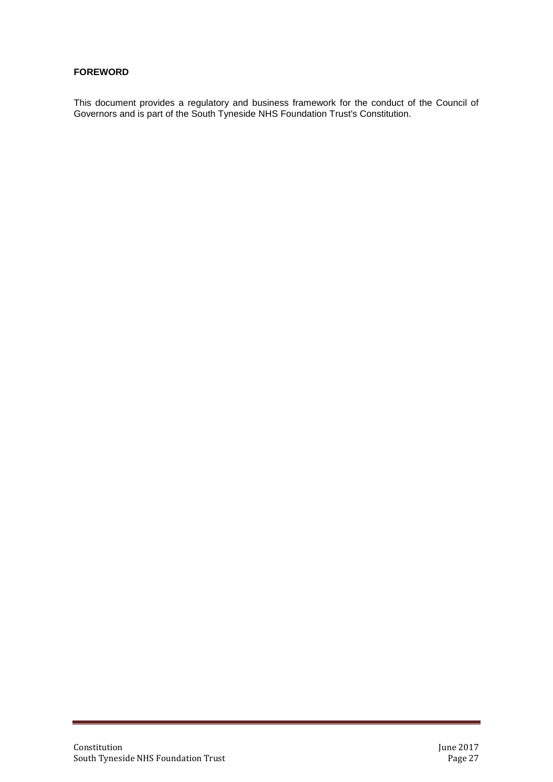# **FOREWORD**

This document provides a regulatory and business framework for the conduct of the Council of Governors and is part of the South Tyneside NHS Foundation Trust's Constitution.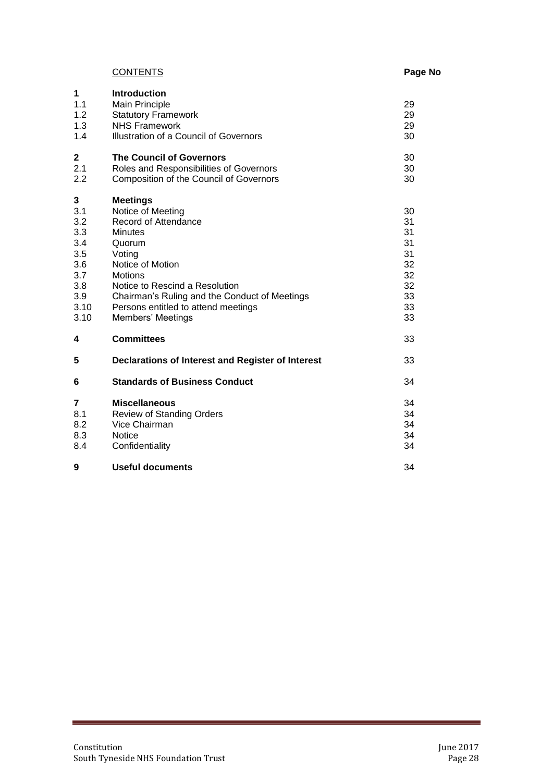# Page No

|  | <b>CONTENTS</b> |
|--|-----------------|
|--|-----------------|

| 1<br>1.1<br>1.2<br>1.3<br>1.4                                                    | <b>Introduction</b><br>Main Principle<br><b>Statutory Framework</b><br><b>NHS Framework</b><br>Illustration of a Council of Governors                                                                                                                                                   | 29<br>29<br>29<br>30                                           |
|----------------------------------------------------------------------------------|-----------------------------------------------------------------------------------------------------------------------------------------------------------------------------------------------------------------------------------------------------------------------------------------|----------------------------------------------------------------|
| 2<br>2.1<br>2.2                                                                  | <b>The Council of Governors</b><br>Roles and Responsibilities of Governors<br><b>Composition of the Council of Governors</b>                                                                                                                                                            | 30<br>30<br>30                                                 |
| 3<br>3.1<br>3.2<br>3.3<br>3.4<br>3.5<br>3.6<br>3.7<br>3.8<br>3.9<br>3.10<br>3.10 | <b>Meetings</b><br>Notice of Meeting<br>Record of Attendance<br><b>Minutes</b><br>Quorum<br>Voting<br>Notice of Motion<br><b>Motions</b><br>Notice to Rescind a Resolution<br>Chairman's Ruling and the Conduct of Meetings<br>Persons entitled to attend meetings<br>Members' Meetings | 30<br>31<br>31<br>31<br>31<br>32<br>32<br>32<br>33<br>33<br>33 |
| 4                                                                                | <b>Committees</b>                                                                                                                                                                                                                                                                       | 33                                                             |
| 5                                                                                | Declarations of Interest and Register of Interest                                                                                                                                                                                                                                       | 33                                                             |
| 6                                                                                | <b>Standards of Business Conduct</b>                                                                                                                                                                                                                                                    | 34                                                             |
| 7<br>8.1<br>8.2<br>8.3<br>8.4                                                    | <b>Miscellaneous</b><br><b>Review of Standing Orders</b><br>Vice Chairman<br><b>Notice</b><br>Confidentiality                                                                                                                                                                           | 34<br>34<br>34<br>34<br>34                                     |
| 9                                                                                | <b>Useful documents</b>                                                                                                                                                                                                                                                                 | 34                                                             |

a<br>Maria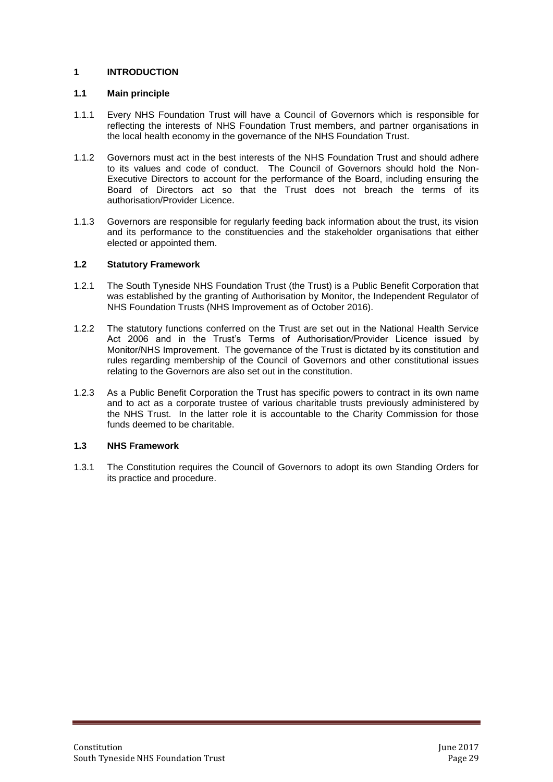# **1 INTRODUCTION**

### **1.1 Main principle**

- 1.1.1 Every NHS Foundation Trust will have a Council of Governors which is responsible for reflecting the interests of NHS Foundation Trust members, and partner organisations in the local health economy in the governance of the NHS Foundation Trust.
- 1.1.2 Governors must act in the best interests of the NHS Foundation Trust and should adhere to its values and code of conduct. The Council of Governors should hold the Non-Executive Directors to account for the performance of the Board, including ensuring the Board of Directors act so that the Trust does not breach the terms of its authorisation/Provider Licence.
- 1.1.3 Governors are responsible for regularly feeding back information about the trust, its vision and its performance to the constituencies and the stakeholder organisations that either elected or appointed them.

# **1.2 Statutory Framework**

- 1.2.1 The South Tyneside NHS Foundation Trust (the Trust) is a Public Benefit Corporation that was established by the granting of Authorisation by Monitor, the Independent Regulator of NHS Foundation Trusts (NHS Improvement as of October 2016).
- 1.2.2 The statutory functions conferred on the Trust are set out in the National Health Service Act 2006 and in the Trust's Terms of Authorisation/Provider Licence issued by Monitor/NHS Improvement. The governance of the Trust is dictated by its constitution and rules regarding membership of the Council of Governors and other constitutional issues relating to the Governors are also set out in the constitution.
- 1.2.3 As a Public Benefit Corporation the Trust has specific powers to contract in its own name and to act as a corporate trustee of various charitable trusts previously administered by the NHS Trust. In the latter role it is accountable to the Charity Commission for those funds deemed to be charitable.

# **1.3 NHS Framework**

1.3.1 The Constitution requires the Council of Governors to adopt its own Standing Orders for its practice and procedure.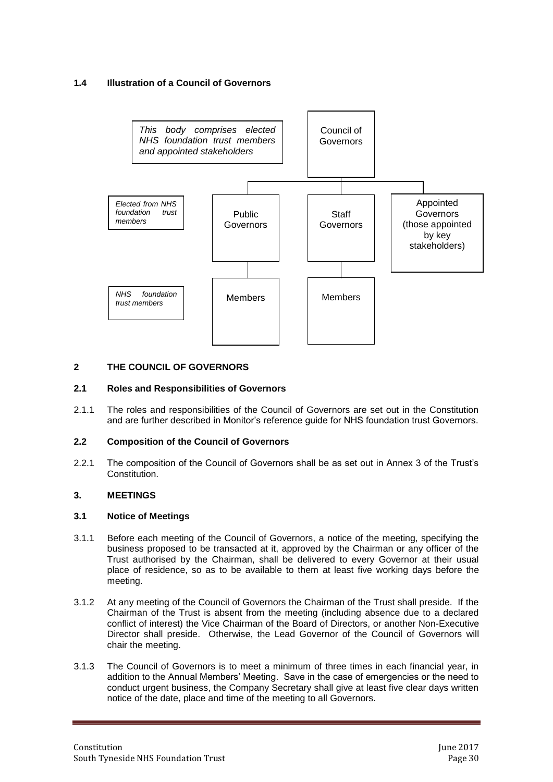# **1.4 Illustration of a Council of Governors**



# **2 THE COUNCIL OF GOVERNORS**

#### **2.1 Roles and Responsibilities of Governors**

2.1.1 The roles and responsibilities of the Council of Governors are set out in the Constitution and are further described in Monitor's reference guide for NHS foundation trust Governors.

#### **2.2 Composition of the Council of Governors**

2.2.1 The composition of the Council of Governors shall be as set out in Annex 3 of the Trust's Constitution.

#### **3. MEETINGS**

#### **3.1 Notice of Meetings**

- 3.1.1 Before each meeting of the Council of Governors, a notice of the meeting, specifying the business proposed to be transacted at it, approved by the Chairman or any officer of the Trust authorised by the Chairman, shall be delivered to every Governor at their usual place of residence, so as to be available to them at least five working days before the meeting.
- 3.1.2 At any meeting of the Council of Governors the Chairman of the Trust shall preside. If the Chairman of the Trust is absent from the meeting (including absence due to a declared conflict of interest) the Vice Chairman of the Board of Directors, or another Non-Executive Director shall preside. Otherwise, the Lead Governor of the Council of Governors will chair the meeting.
- 3.1.3 The Council of Governors is to meet a minimum of three times in each financial year, in addition to the Annual Members' Meeting. Save in the case of emergencies or the need to conduct urgent business, the Company Secretary shall give at least five clear days written notice of the date, place and time of the meeting to all Governors.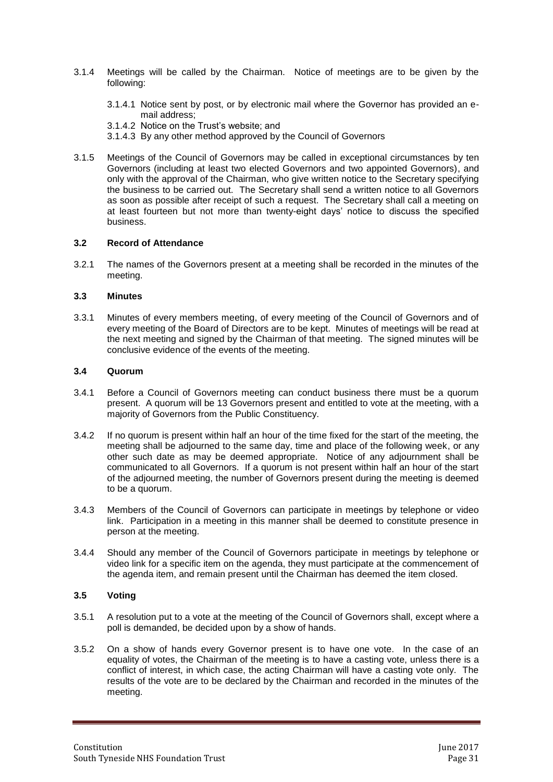- 3.1.4 Meetings will be called by the Chairman. Notice of meetings are to be given by the following:
	- 3.1.4.1 Notice sent by post, or by electronic mail where the Governor has provided an email address;
	- 3.1.4.2 Notice on the Trust's website; and
	- 3.1.4.3 By any other method approved by the Council of Governors
- 3.1.5 Meetings of the Council of Governors may be called in exceptional circumstances by ten Governors (including at least two elected Governors and two appointed Governors), and only with the approval of the Chairman, who give written notice to the Secretary specifying the business to be carried out. The Secretary shall send a written notice to all Governors as soon as possible after receipt of such a request. The Secretary shall call a meeting on at least fourteen but not more than twenty-eight days' notice to discuss the specified business.

#### **3.2 Record of Attendance**

3.2.1 The names of the Governors present at a meeting shall be recorded in the minutes of the meeting.

#### **3.3 Minutes**

3.3.1 Minutes of every members meeting, of every meeting of the Council of Governors and of every meeting of the Board of Directors are to be kept. Minutes of meetings will be read at the next meeting and signed by the Chairman of that meeting. The signed minutes will be conclusive evidence of the events of the meeting.

#### **3.4 Quorum**

- 3.4.1 Before a Council of Governors meeting can conduct business there must be a quorum present. A quorum will be 13 Governors present and entitled to vote at the meeting, with a majority of Governors from the Public Constituency.
- 3.4.2 If no quorum is present within half an hour of the time fixed for the start of the meeting, the meeting shall be adjourned to the same day, time and place of the following week, or any other such date as may be deemed appropriate. Notice of any adjournment shall be communicated to all Governors. If a quorum is not present within half an hour of the start of the adjourned meeting, the number of Governors present during the meeting is deemed to be a quorum.
- 3.4.3 Members of the Council of Governors can participate in meetings by telephone or video link. Participation in a meeting in this manner shall be deemed to constitute presence in person at the meeting.
- 3.4.4 Should any member of the Council of Governors participate in meetings by telephone or video link for a specific item on the agenda, they must participate at the commencement of the agenda item, and remain present until the Chairman has deemed the item closed.

# **3.5 Voting**

- 3.5.1 A resolution put to a vote at the meeting of the Council of Governors shall, except where a poll is demanded, be decided upon by a show of hands.
- 3.5.2 On a show of hands every Governor present is to have one vote. In the case of an equality of votes, the Chairman of the meeting is to have a casting vote, unless there is a conflict of interest, in which case, the acting Chairman will have a casting vote only. The results of the vote are to be declared by the Chairman and recorded in the minutes of the meeting.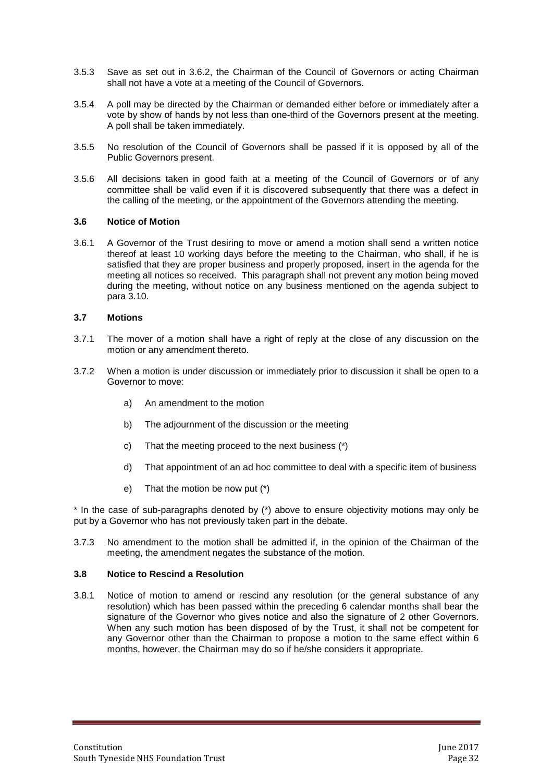- 3.5.3 Save as set out in 3.6.2, the Chairman of the Council of Governors or acting Chairman shall not have a vote at a meeting of the Council of Governors.
- 3.5.4 A poll may be directed by the Chairman or demanded either before or immediately after a vote by show of hands by not less than one-third of the Governors present at the meeting. A poll shall be taken immediately.
- 3.5.5 No resolution of the Council of Governors shall be passed if it is opposed by all of the Public Governors present.
- 3.5.6 All decisions taken in good faith at a meeting of the Council of Governors or of any committee shall be valid even if it is discovered subsequently that there was a defect in the calling of the meeting, or the appointment of the Governors attending the meeting.

#### **3.6 Notice of Motion**

3.6.1 A Governor of the Trust desiring to move or amend a motion shall send a written notice thereof at least 10 working days before the meeting to the Chairman, who shall, if he is satisfied that they are proper business and properly proposed, insert in the agenda for the meeting all notices so received. This paragraph shall not prevent any motion being moved during the meeting, without notice on any business mentioned on the agenda subject to para 3.10.

# **3.7 Motions**

- 3.7.1 The mover of a motion shall have a right of reply at the close of any discussion on the motion or any amendment thereto.
- 3.7.2 When a motion is under discussion or immediately prior to discussion it shall be open to a Governor to move:
	- a) An amendment to the motion
	- b) The adjournment of the discussion or the meeting
	- c) That the meeting proceed to the next business (\*)
	- d) That appointment of an ad hoc committee to deal with a specific item of business
	- e) That the motion be now put (\*)

\* In the case of sub-paragraphs denoted by (\*) above to ensure objectivity motions may only be put by a Governor who has not previously taken part in the debate.

3.7.3 No amendment to the motion shall be admitted if, in the opinion of the Chairman of the meeting, the amendment negates the substance of the motion.

#### **3.8 Notice to Rescind a Resolution**

3.8.1 Notice of motion to amend or rescind any resolution (or the general substance of any resolution) which has been passed within the preceding 6 calendar months shall bear the signature of the Governor who gives notice and also the signature of 2 other Governors. When any such motion has been disposed of by the Trust, it shall not be competent for any Governor other than the Chairman to propose a motion to the same effect within 6 months, however, the Chairman may do so if he/she considers it appropriate.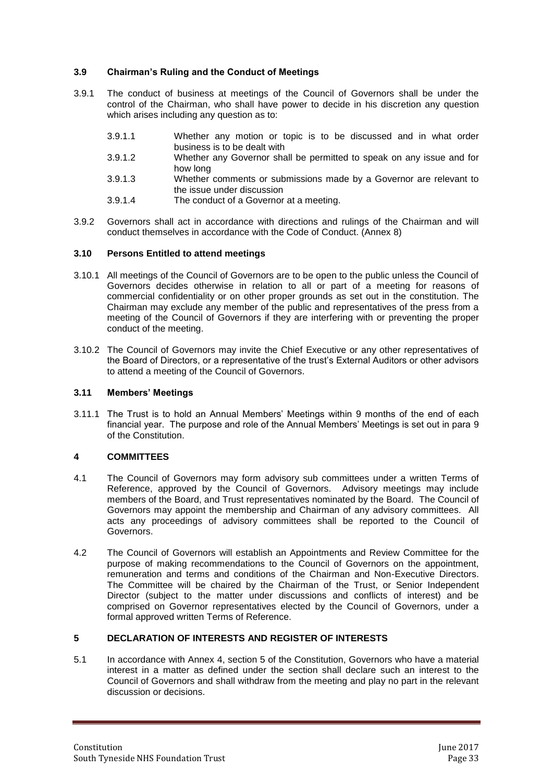# **3.9 Chairman's Ruling and the Conduct of Meetings**

- 3.9.1 The conduct of business at meetings of the Council of Governors shall be under the control of the Chairman, who shall have power to decide in his discretion any question which arises including any question as to:
	- 3.9.1.1 Whether any motion or topic is to be discussed and in what order business is to be dealt with
	- 3.9.1.2 Whether any Governor shall be permitted to speak on any issue and for how long
	- 3.9.1.3 Whether comments or submissions made by a Governor are relevant to the issue under discussion
	- 3.9.1.4 The conduct of a Governor at a meeting.
- 3.9.2 Governors shall act in accordance with directions and rulings of the Chairman and will conduct themselves in accordance with the Code of Conduct. (Annex 8)

#### **3.10 Persons Entitled to attend meetings**

- 3.10.1 All meetings of the Council of Governors are to be open to the public unless the Council of Governors decides otherwise in relation to all or part of a meeting for reasons of commercial confidentiality or on other proper grounds as set out in the constitution. The Chairman may exclude any member of the public and representatives of the press from a meeting of the Council of Governors if they are interfering with or preventing the proper conduct of the meeting.
- 3.10.2 The Council of Governors may invite the Chief Executive or any other representatives of the Board of Directors, or a representative of the trust's External Auditors or other advisors to attend a meeting of the Council of Governors.

# **3.11 Members' Meetings**

3.11.1 The Trust is to hold an Annual Members' Meetings within 9 months of the end of each financial year. The purpose and role of the Annual Members' Meetings is set out in para 9 of the Constitution.

#### **4 COMMITTEES**

- 4.1 The Council of Governors may form advisory sub committees under a written Terms of Reference, approved by the Council of Governors. Advisory meetings may include members of the Board, and Trust representatives nominated by the Board. The Council of Governors may appoint the membership and Chairman of any advisory committees. All acts any proceedings of advisory committees shall be reported to the Council of Governors.
- 4.2 The Council of Governors will establish an Appointments and Review Committee for the purpose of making recommendations to the Council of Governors on the appointment, remuneration and terms and conditions of the Chairman and Non-Executive Directors. The Committee will be chaired by the Chairman of the Trust, or Senior Independent Director (subject to the matter under discussions and conflicts of interest) and be comprised on Governor representatives elected by the Council of Governors, under a formal approved written Terms of Reference.

#### **5 DECLARATION OF INTERESTS AND REGISTER OF INTERESTS**

5.1 In accordance with Annex 4, section 5 of the Constitution, Governors who have a material interest in a matter as defined under the section shall declare such an interest to the Council of Governors and shall withdraw from the meeting and play no part in the relevant discussion or decisions.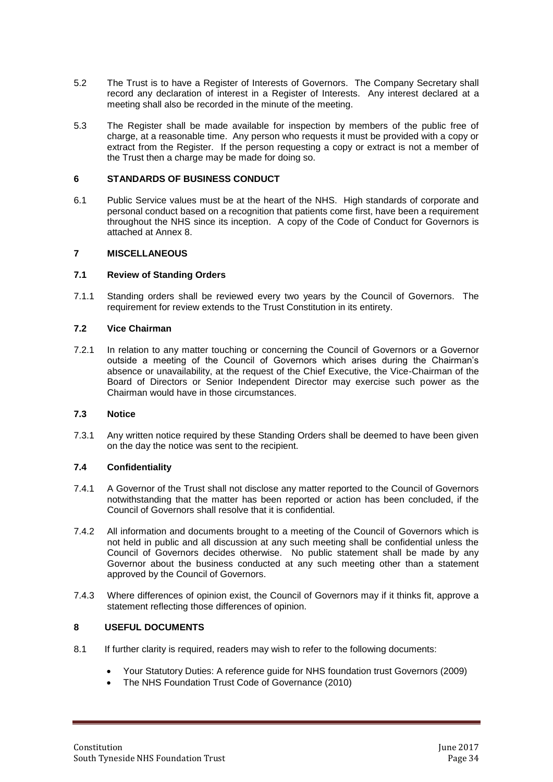- 5.2 The Trust is to have a Register of Interests of Governors. The Company Secretary shall record any declaration of interest in a Register of Interests. Any interest declared at a meeting shall also be recorded in the minute of the meeting.
- 5.3 The Register shall be made available for inspection by members of the public free of charge, at a reasonable time. Any person who requests it must be provided with a copy or extract from the Register. If the person requesting a copy or extract is not a member of the Trust then a charge may be made for doing so.

#### **6 STANDARDS OF BUSINESS CONDUCT**

6.1 Public Service values must be at the heart of the NHS. High standards of corporate and personal conduct based on a recognition that patients come first, have been a requirement throughout the NHS since its inception. A copy of the Code of Conduct for Governors is attached at Annex 8.

#### **7 MISCELLANEOUS**

#### **7.1 Review of Standing Orders**

7.1.1 Standing orders shall be reviewed every two years by the Council of Governors. The requirement for review extends to the Trust Constitution in its entirety.

#### **7.2 Vice Chairman**

7.2.1 In relation to any matter touching or concerning the Council of Governors or a Governor outside a meeting of the Council of Governors which arises during the Chairman's absence or unavailability, at the request of the Chief Executive, the Vice-Chairman of the Board of Directors or Senior Independent Director may exercise such power as the Chairman would have in those circumstances.

#### **7.3 Notice**

7.3.1 Any written notice required by these Standing Orders shall be deemed to have been given on the day the notice was sent to the recipient.

#### **7.4 Confidentiality**

- 7.4.1 A Governor of the Trust shall not disclose any matter reported to the Council of Governors notwithstanding that the matter has been reported or action has been concluded, if the Council of Governors shall resolve that it is confidential.
- 7.4.2 All information and documents brought to a meeting of the Council of Governors which is not held in public and all discussion at any such meeting shall be confidential unless the Council of Governors decides otherwise. No public statement shall be made by any Governor about the business conducted at any such meeting other than a statement approved by the Council of Governors.
- 7.4.3 Where differences of opinion exist, the Council of Governors may if it thinks fit, approve a statement reflecting those differences of opinion.

### **8 USEFUL DOCUMENTS**

- 8.1 If further clarity is required, readers may wish to refer to the following documents:
	- Your Statutory Duties: A reference guide for NHS foundation trust Governors (2009)
	- The NHS Foundation Trust Code of Governance (2010)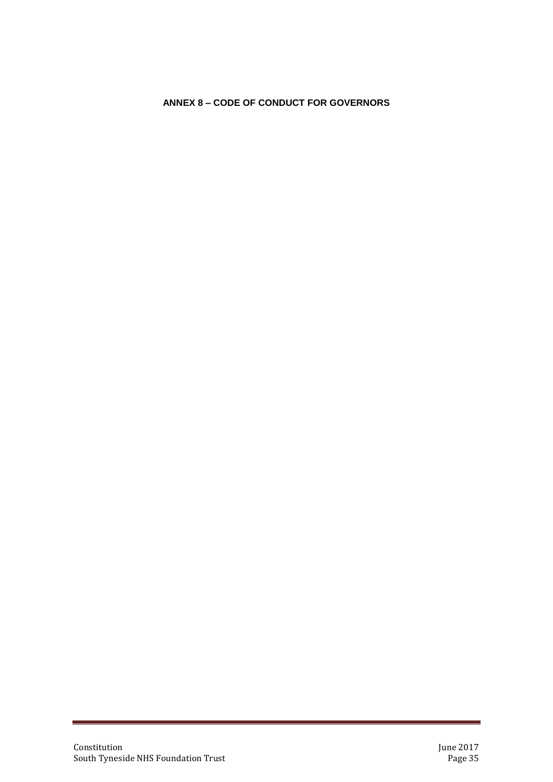# <span id="page-34-0"></span>**ANNEX 8 – CODE OF CONDUCT FOR GOVERNORS**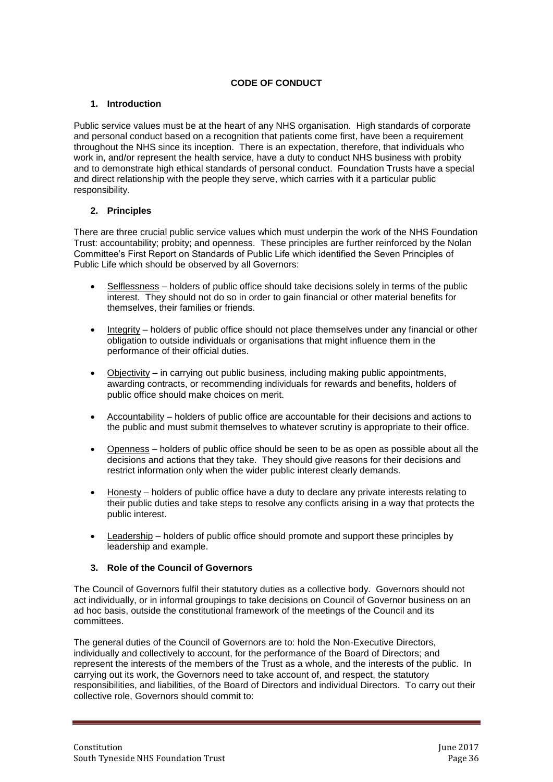# **CODE OF CONDUCT**

# **1. Introduction**

Public service values must be at the heart of any NHS organisation. High standards of corporate and personal conduct based on a recognition that patients come first, have been a requirement throughout the NHS since its inception. There is an expectation, therefore, that individuals who work in, and/or represent the health service, have a duty to conduct NHS business with probity and to demonstrate high ethical standards of personal conduct. Foundation Trusts have a special and direct relationship with the people they serve, which carries with it a particular public responsibility.

# **2. Principles**

There are three crucial public service values which must underpin the work of the NHS Foundation Trust: accountability; probity; and openness. These principles are further reinforced by the Nolan Committee's First Report on Standards of Public Life which identified the Seven Principles of Public Life which should be observed by all Governors:

- Selflessness holders of public office should take decisions solely in terms of the public interest. They should not do so in order to gain financial or other material benefits for themselves, their families or friends.
- $\bullet$  Integrity holders of public office should not place themselves under any financial or other obligation to outside individuals or organisations that might influence them in the performance of their official duties.
- Objectivity in carrying out public business, including making public appointments, awarding contracts, or recommending individuals for rewards and benefits, holders of public office should make choices on merit.
- Accountability holders of public office are accountable for their decisions and actions to the public and must submit themselves to whatever scrutiny is appropriate to their office.
- Openness holders of public office should be seen to be as open as possible about all the decisions and actions that they take. They should give reasons for their decisions and restrict information only when the wider public interest clearly demands.
- Honesty holders of public office have a duty to declare any private interests relating to their public duties and take steps to resolve any conflicts arising in a way that protects the public interest.
- Leadership holders of public office should promote and support these principles by leadership and example.

#### **3. Role of the Council of Governors**

The Council of Governors fulfil their statutory duties as a collective body. Governors should not act individually, or in informal groupings to take decisions on Council of Governor business on an ad hoc basis, outside the constitutional framework of the meetings of the Council and its committees.

The general duties of the Council of Governors are to: hold the Non-Executive Directors, individually and collectively to account, for the performance of the Board of Directors; and represent the interests of the members of the Trust as a whole, and the interests of the public. In carrying out its work, the Governors need to take account of, and respect, the statutory responsibilities, and liabilities, of the Board of Directors and individual Directors. To carry out their collective role, Governors should commit to: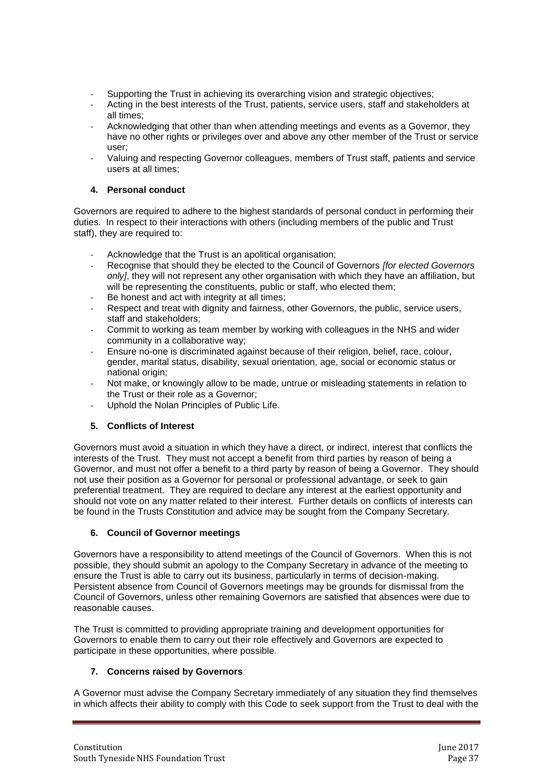- Supporting the Trust in achieving its overarching vision and strategic objectives;
- Acting in the best interests of the Trust, patients, service users, staff and stakeholders at all times;
- Acknowledging that other than when attending meetings and events as a Governor, they have no other rights or privileges over and above any other member of the Trust or service user;
- Valuing and respecting Governor colleagues, members of Trust staff, patients and service users at all times;

# **4. Personal conduct**

Governors are required to adhere to the highest standards of personal conduct in performing their duties. In respect to their interactions with others (including members of the public and Trust staff), they are required to:

- Acknowledge that the Trust is an apolitical organisation;
- Recognise that should they be elected to the Council of Governors *[for elected Governors only]*, they will not represent any other organisation with which they have an affiliation, but will be representing the constituents, public or staff, who elected them;
- Be honest and act with integrity at all times;
- Respect and treat with dignity and fairness, other Governors, the public, service users, staff and stakeholders;
- Commit to working as team member by working with colleagues in the NHS and wider community in a collaborative way;
- Ensure no-one is discriminated against because of their religion, belief, race, colour, gender, marital status, disability, sexual orientation, age, social or economic status or national origin;
- Not make, or knowingly allow to be made, untrue or misleading statements in relation to the Trust or their role as a Governor;
- Uphold the Nolan Principles of Public Life.

# **5. Conflicts of Interest**

Governors must avoid a situation in which they have a direct, or indirect, interest that conflicts the interests of the Trust. They must not accept a benefit from third parties by reason of being a Governor, and must not offer a benefit to a third party by reason of being a Governor. They should not use their position as a Governor for personal or professional advantage, or seek to gain preferential treatment. They are required to declare any interest at the earliest opportunity and should not vote on any matter related to their interest. Further details on conflicts of interests can be found in the Trusts Constitution and advice may be sought from the Company Secretary.

# **6. Council of Governor meetings**

Governors have a responsibility to attend meetings of the Council of Governors. When this is not possible, they should submit an apology to the Company Secretary in advance of the meeting to ensure the Trust is able to carry out its business, particularly in terms of decision-making. Persistent absence from Council of Governors meetings may be grounds for dismissal from the Council of Governors, unless other remaining Governors are satisfied that absences were due to reasonable causes.

The Trust is committed to providing appropriate training and development opportunities for Governors to enable them to carry out their role effectively and Governors are expected to participate in these opportunities, where possible.

# **7. Concerns raised by Governors**

A Governor must advise the Company Secretary immediately of any situation they find themselves in which affects their ability to comply with this Code to seek support from the Trust to deal with the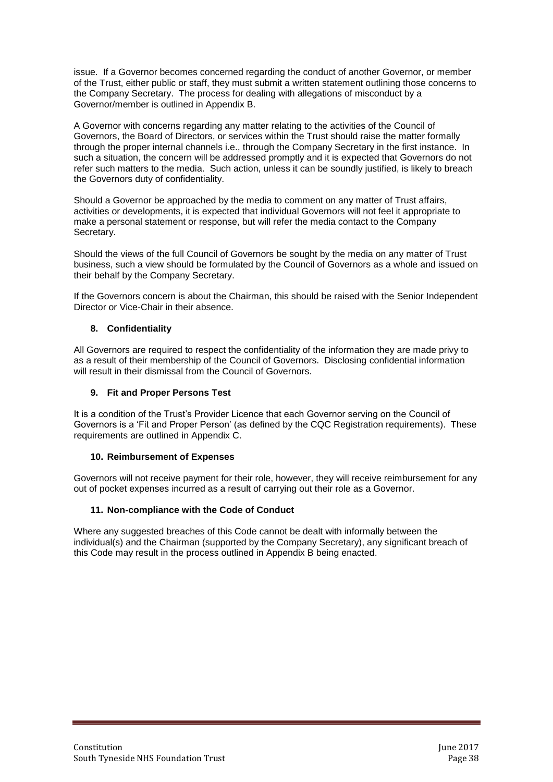issue. If a Governor becomes concerned regarding the conduct of another Governor, or member of the Trust, either public or staff, they must submit a written statement outlining those concerns to the Company Secretary. The process for dealing with allegations of misconduct by a Governor/member is outlined in Appendix B.

A Governor with concerns regarding any matter relating to the activities of the Council of Governors, the Board of Directors, or services within the Trust should raise the matter formally through the proper internal channels i.e., through the Company Secretary in the first instance. In such a situation, the concern will be addressed promptly and it is expected that Governors do not refer such matters to the media. Such action, unless it can be soundly justified, is likely to breach the Governors duty of confidentiality.

Should a Governor be approached by the media to comment on any matter of Trust affairs, activities or developments, it is expected that individual Governors will not feel it appropriate to make a personal statement or response, but will refer the media contact to the Company Secretary.

Should the views of the full Council of Governors be sought by the media on any matter of Trust business, such a view should be formulated by the Council of Governors as a whole and issued on their behalf by the Company Secretary.

If the Governors concern is about the Chairman, this should be raised with the Senior Independent Director or Vice-Chair in their absence.

# **8. Confidentiality**

All Governors are required to respect the confidentiality of the information they are made privy to as a result of their membership of the Council of Governors. Disclosing confidential information will result in their dismissal from the Council of Governors.

### **9. Fit and Proper Persons Test**

It is a condition of the Trust's Provider Licence that each Governor serving on the Council of Governors is a 'Fit and Proper Person' (as defined by the CQC Registration requirements). These requirements are outlined in Appendix C.

#### **10. Reimbursement of Expenses**

Governors will not receive payment for their role, however, they will receive reimbursement for any out of pocket expenses incurred as a result of carrying out their role as a Governor.

# **11. Non-compliance with the Code of Conduct**

Where any suggested breaches of this Code cannot be dealt with informally between the individual(s) and the Chairman (supported by the Company Secretary), any significant breach of this Code may result in the process outlined in Appendix B being enacted.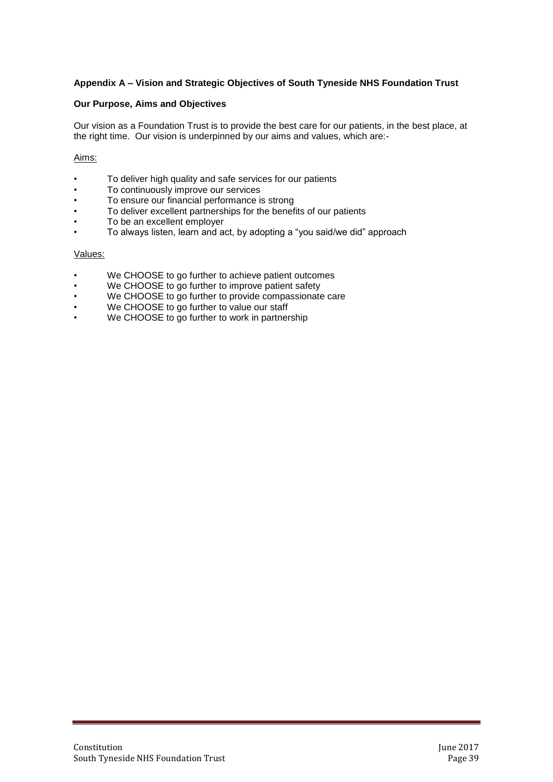# **Appendix A – Vision and Strategic Objectives of South Tyneside NHS Foundation Trust**

#### **Our Purpose, Aims and Objectives**

Our vision as a Foundation Trust is to provide the best care for our patients, in the best place, at the right time. Our vision is underpinned by our aims and values, which are:-

#### Aims:

- To deliver high quality and safe services for our patients
- To continuously improve our services
- To ensure our financial performance is strong
- To deliver excellent partnerships for the benefits of our patients
- To be an excellent employer
- To always listen, learn and act, by adopting a "you said/we did" approach

#### Values:

- We CHOOSE to go further to achieve patient outcomes
- We CHOOSE to go further to improve patient safety
- We CHOOSE to go further to provide compassionate care
- We CHOOSE to go further to value our staff
- We CHOOSE to go further to work in partnership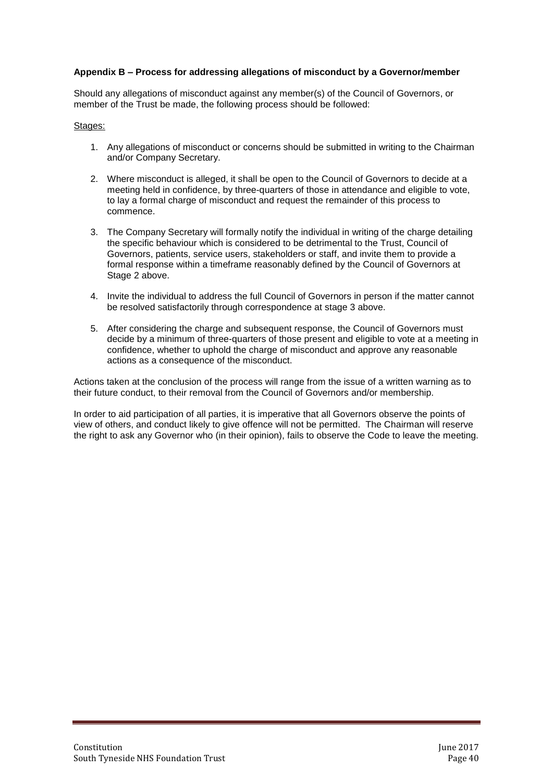#### **Appendix B – Process for addressing allegations of misconduct by a Governor/member**

Should any allegations of misconduct against any member(s) of the Council of Governors, or member of the Trust be made, the following process should be followed:

#### Stages:

- 1. Any allegations of misconduct or concerns should be submitted in writing to the Chairman and/or Company Secretary.
- 2. Where misconduct is alleged, it shall be open to the Council of Governors to decide at a meeting held in confidence, by three-quarters of those in attendance and eligible to vote, to lay a formal charge of misconduct and request the remainder of this process to commence.
- 3. The Company Secretary will formally notify the individual in writing of the charge detailing the specific behaviour which is considered to be detrimental to the Trust, Council of Governors, patients, service users, stakeholders or staff, and invite them to provide a formal response within a timeframe reasonably defined by the Council of Governors at Stage 2 above.
- 4. Invite the individual to address the full Council of Governors in person if the matter cannot be resolved satisfactorily through correspondence at stage 3 above.
- 5. After considering the charge and subsequent response, the Council of Governors must decide by a minimum of three-quarters of those present and eligible to vote at a meeting in confidence, whether to uphold the charge of misconduct and approve any reasonable actions as a consequence of the misconduct.

Actions taken at the conclusion of the process will range from the issue of a written warning as to their future conduct, to their removal from the Council of Governors and/or membership.

In order to aid participation of all parties, it is imperative that all Governors observe the points of view of others, and conduct likely to give offence will not be permitted. The Chairman will reserve the right to ask any Governor who (in their opinion), fails to observe the Code to leave the meeting.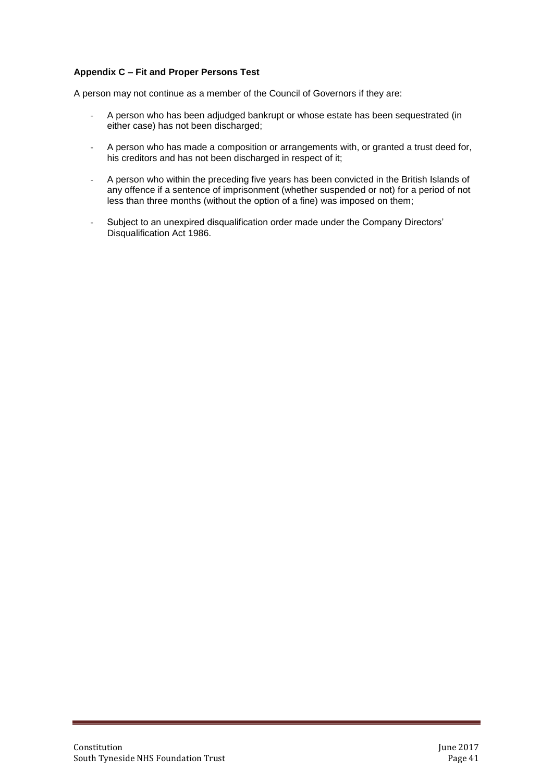# **Appendix C – Fit and Proper Persons Test**

A person may not continue as a member of the Council of Governors if they are:

- A person who has been adjudged bankrupt or whose estate has been sequestrated (in either case) has not been discharged;
- A person who has made a composition or arrangements with, or granted a trust deed for, his creditors and has not been discharged in respect of it;
- A person who within the preceding five years has been convicted in the British Islands of any offence if a sentence of imprisonment (whether suspended or not) for a period of not less than three months (without the option of a fine) was imposed on them;
- Subject to an unexpired disqualification order made under the Company Directors' Disqualification Act 1986.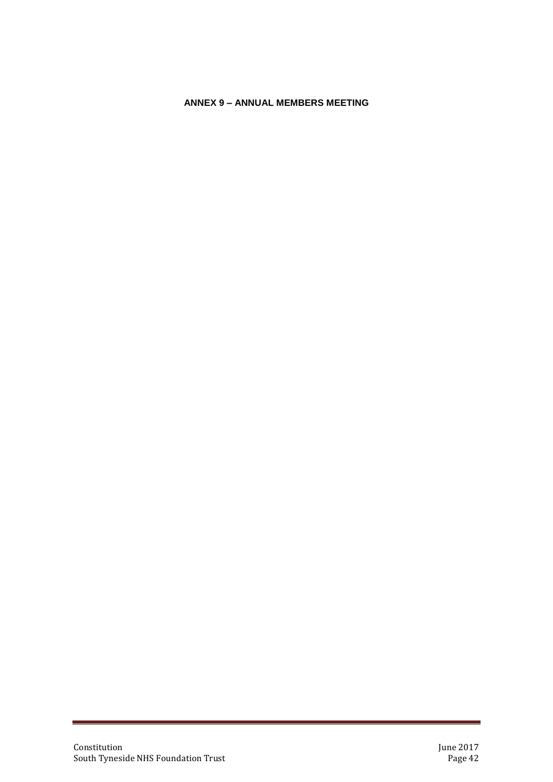# <span id="page-41-0"></span>**ANNEX 9 – ANNUAL MEMBERS MEETING**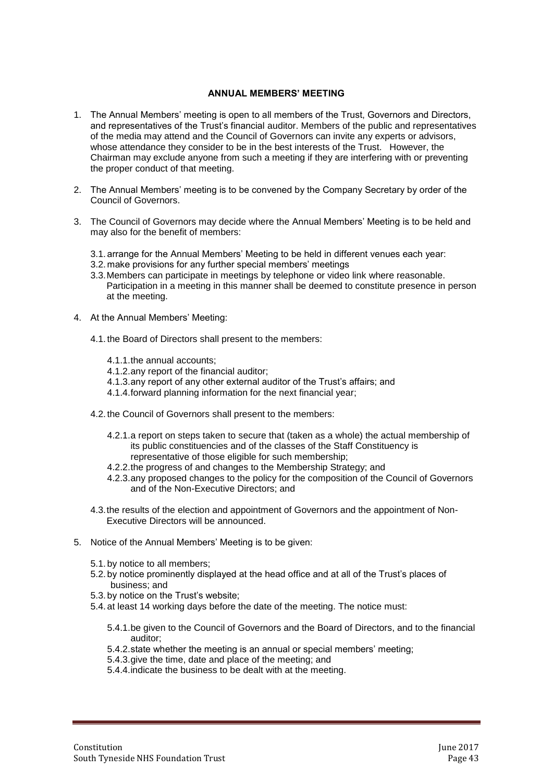#### **ANNUAL MEMBERS' MEETING**

- 1. The Annual Members' meeting is open to all members of the Trust, Governors and Directors, and representatives of the Trust's financial auditor. Members of the public and representatives of the media may attend and the Council of Governors can invite any experts or advisors, whose attendance they consider to be in the best interests of the Trust. However, the Chairman may exclude anyone from such a meeting if they are interfering with or preventing the proper conduct of that meeting.
- 2. The Annual Members' meeting is to be convened by the Company Secretary by order of the Council of Governors.
- 3. The Council of Governors may decide where the Annual Members' Meeting is to be held and may also for the benefit of members:
	- 3.1. arrange for the Annual Members' Meeting to be held in different venues each year:
	- 3.2. make provisions for any further special members' meetings
	- 3.3.Members can participate in meetings by telephone or video link where reasonable. Participation in a meeting in this manner shall be deemed to constitute presence in person at the meeting.
- 4. At the Annual Members' Meeting:
	- 4.1. the Board of Directors shall present to the members:
		- 4.1.1.the annual accounts;
		- 4.1.2.any report of the financial auditor;
		- 4.1.3.any report of any other external auditor of the Trust's affairs; and
		- 4.1.4.forward planning information for the next financial year;
	- 4.2. the Council of Governors shall present to the members:
		- 4.2.1.a report on steps taken to secure that (taken as a whole) the actual membership of its public constituencies and of the classes of the Staff Constituency is representative of those eligible for such membership;
		- 4.2.2.the progress of and changes to the Membership Strategy; and
		- 4.2.3.any proposed changes to the policy for the composition of the Council of Governors and of the Non-Executive Directors; and
	- 4.3.the results of the election and appointment of Governors and the appointment of Non-Executive Directors will be announced.
- 5. Notice of the Annual Members' Meeting is to be given:
	- 5.1. by notice to all members;
	- 5.2. by notice prominently displayed at the head office and at all of the Trust's places of business; and
	- 5.3. by notice on the Trust's website;
	- 5.4. at least 14 working days before the date of the meeting. The notice must:
		- 5.4.1.be given to the Council of Governors and the Board of Directors, and to the financial auditor;
		- 5.4.2.state whether the meeting is an annual or special members' meeting;
		- 5.4.3.give the time, date and place of the meeting; and
		- 5.4.4.indicate the business to be dealt with at the meeting.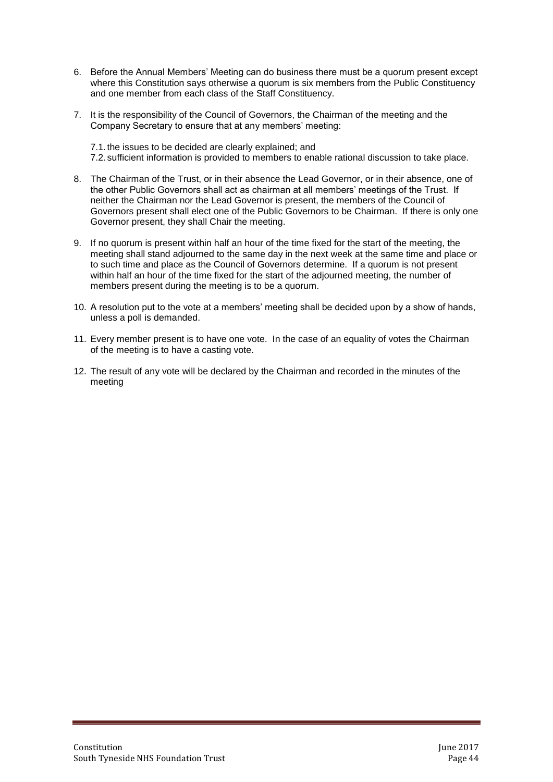- 6. Before the Annual Members' Meeting can do business there must be a quorum present except where this Constitution says otherwise a quorum is six members from the Public Constituency and one member from each class of the Staff Constituency.
- 7. It is the responsibility of the Council of Governors, the Chairman of the meeting and the Company Secretary to ensure that at any members' meeting:

7.1. the issues to be decided are clearly explained; and 7.2. sufficient information is provided to members to enable rational discussion to take place.

- 8. The Chairman of the Trust, or in their absence the Lead Governor, or in their absence, one of the other Public Governors shall act as chairman at all members' meetings of the Trust. If neither the Chairman nor the Lead Governor is present, the members of the Council of Governors present shall elect one of the Public Governors to be Chairman. If there is only one Governor present, they shall Chair the meeting.
- 9. If no quorum is present within half an hour of the time fixed for the start of the meeting, the meeting shall stand adjourned to the same day in the next week at the same time and place or to such time and place as the Council of Governors determine. If a quorum is not present within half an hour of the time fixed for the start of the adjourned meeting, the number of members present during the meeting is to be a quorum.
- 10. A resolution put to the vote at a members' meeting shall be decided upon by a show of hands, unless a poll is demanded.
- 11. Every member present is to have one vote. In the case of an equality of votes the Chairman of the meeting is to have a casting vote.
- 12. The result of any vote will be declared by the Chairman and recorded in the minutes of the meeting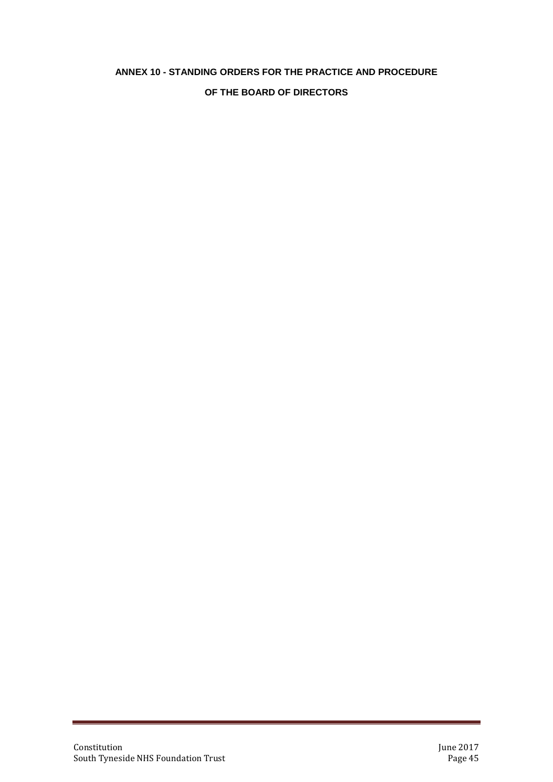# **ANNEX 10 - STANDING ORDERS FOR THE PRACTICE AND PROCEDURE**

# **OF THE BOARD OF DIRECTORS**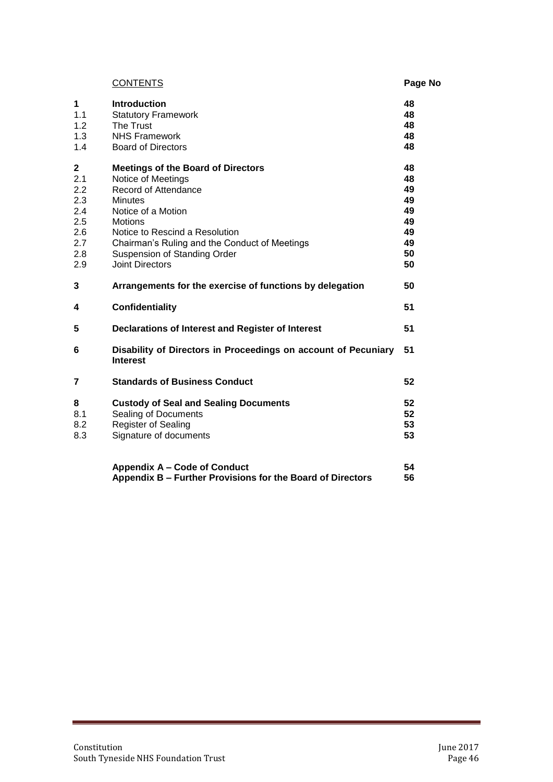|                                                                            | <b>CONTENTS</b>                                                                                                                                                                                                                                                                                | Page No                                                  |
|----------------------------------------------------------------------------|------------------------------------------------------------------------------------------------------------------------------------------------------------------------------------------------------------------------------------------------------------------------------------------------|----------------------------------------------------------|
| $\mathbf 1$<br>1.1<br>1.2<br>1.3<br>1.4                                    | <b>Introduction</b><br><b>Statutory Framework</b><br>The Trust<br><b>NHS Framework</b><br><b>Board of Directors</b>                                                                                                                                                                            | 48<br>48<br>48<br>48<br>48                               |
| $\mathbf 2$<br>2.1<br>2.2<br>2.3<br>2.4<br>2.5<br>2.6<br>2.7<br>2.8<br>2.9 | <b>Meetings of the Board of Directors</b><br>Notice of Meetings<br>Record of Attendance<br><b>Minutes</b><br>Notice of a Motion<br><b>Motions</b><br>Notice to Rescind a Resolution<br>Chairman's Ruling and the Conduct of Meetings<br>Suspension of Standing Order<br><b>Joint Directors</b> | 48<br>48<br>49<br>49<br>49<br>49<br>49<br>49<br>50<br>50 |
| 3                                                                          | Arrangements for the exercise of functions by delegation                                                                                                                                                                                                                                       | 50                                                       |
| 4                                                                          | Confidentiality                                                                                                                                                                                                                                                                                | 51                                                       |
| 5                                                                          | Declarations of Interest and Register of Interest                                                                                                                                                                                                                                              | 51                                                       |
| 6                                                                          | Disability of Directors in Proceedings on account of Pecuniary<br><b>Interest</b>                                                                                                                                                                                                              | 51                                                       |
| $\overline{7}$                                                             | <b>Standards of Business Conduct</b>                                                                                                                                                                                                                                                           | 52                                                       |
| 8<br>8.1<br>8.2<br>8.3                                                     | <b>Custody of Seal and Sealing Documents</b><br>Sealing of Documents<br>Register of Sealing<br>Signature of documents                                                                                                                                                                          | 52<br>52<br>53<br>53                                     |
|                                                                            | <b>Appendix A - Code of Conduct</b><br>Appendix B - Further Provisions for the Board of Directors                                                                                                                                                                                              | 54<br>56                                                 |

a.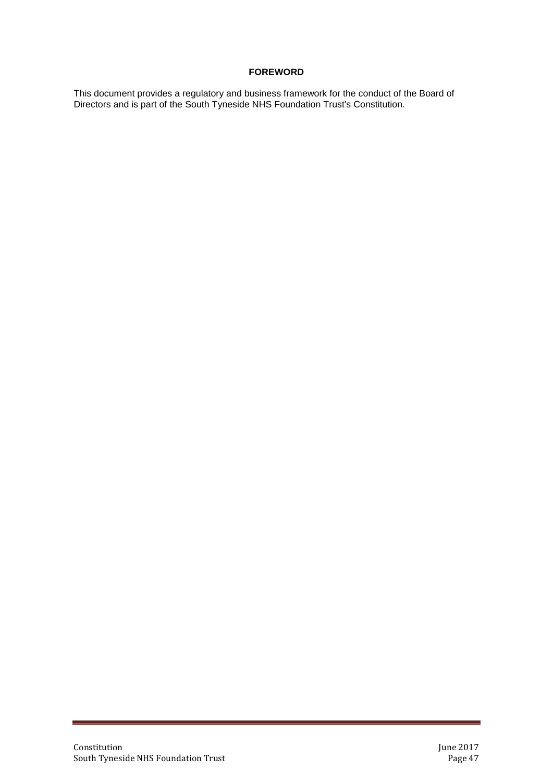# **FOREWORD**

This document provides a regulatory and business framework for the conduct of the Board of Directors and is part of the South Tyneside NHS Foundation Trust's Constitution.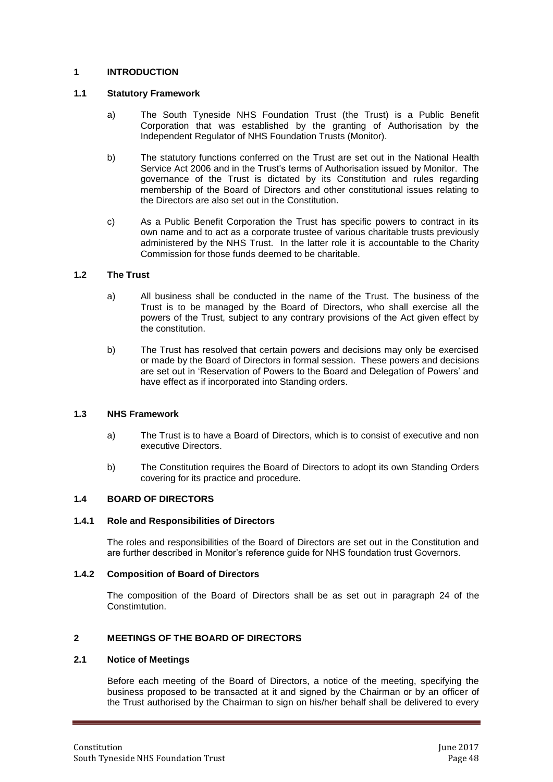# **1 INTRODUCTION**

#### **1.1 Statutory Framework**

- a) The South Tyneside NHS Foundation Trust (the Trust) is a Public Benefit Corporation that was established by the granting of Authorisation by the Independent Regulator of NHS Foundation Trusts (Monitor).
- b) The statutory functions conferred on the Trust are set out in the National Health Service Act 2006 and in the Trust's terms of Authorisation issued by Monitor. The governance of the Trust is dictated by its Constitution and rules regarding membership of the Board of Directors and other constitutional issues relating to the Directors are also set out in the Constitution.
- c) As a Public Benefit Corporation the Trust has specific powers to contract in its own name and to act as a corporate trustee of various charitable trusts previously administered by the NHS Trust. In the latter role it is accountable to the Charity Commission for those funds deemed to be charitable.

# **1.2 The Trust**

- a) All business shall be conducted in the name of the Trust. The business of the Trust is to be managed by the Board of Directors, who shall exercise all the powers of the Trust, subject to any contrary provisions of the Act given effect by the constitution.
- b) The Trust has resolved that certain powers and decisions may only be exercised or made by the Board of Directors in formal session. These powers and decisions are set out in 'Reservation of Powers to the Board and Delegation of Powers' and have effect as if incorporated into Standing orders.

#### **1.3 NHS Framework**

- a) The Trust is to have a Board of Directors, which is to consist of executive and non executive Directors.
- b) The Constitution requires the Board of Directors to adopt its own Standing Orders covering for its practice and procedure.

# **1.4 BOARD OF DIRECTORS**

#### **1.4.1 Role and Responsibilities of Directors**

The roles and responsibilities of the Board of Directors are set out in the Constitution and are further described in Monitor's reference guide for NHS foundation trust Governors.

#### **1.4.2 Composition of Board of Directors**

The composition of the Board of Directors shall be as set out in paragraph 24 of the Constimtution.

# **2 MEETINGS OF THE BOARD OF DIRECTORS**

#### **2.1 Notice of Meetings**

Before each meeting of the Board of Directors, a notice of the meeting, specifying the business proposed to be transacted at it and signed by the Chairman or by an officer of the Trust authorised by the Chairman to sign on his/her behalf shall be delivered to every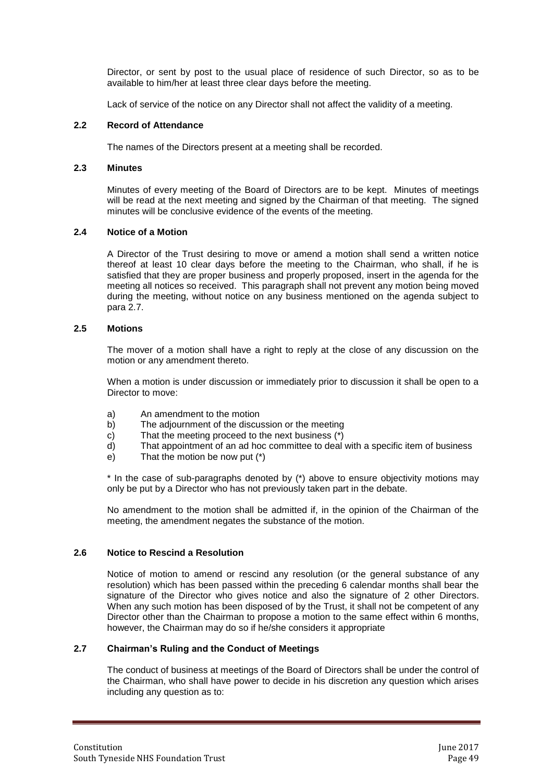Director, or sent by post to the usual place of residence of such Director, so as to be available to him/her at least three clear days before the meeting.

Lack of service of the notice on any Director shall not affect the validity of a meeting.

#### **2.2 Record of Attendance**

The names of the Directors present at a meeting shall be recorded.

#### **2.3 Minutes**

Minutes of every meeting of the Board of Directors are to be kept. Minutes of meetings will be read at the next meeting and signed by the Chairman of that meeting. The signed minutes will be conclusive evidence of the events of the meeting.

#### **2.4 Notice of a Motion**

A Director of the Trust desiring to move or amend a motion shall send a written notice thereof at least 10 clear days before the meeting to the Chairman, who shall, if he is satisfied that they are proper business and properly proposed, insert in the agenda for the meeting all notices so received. This paragraph shall not prevent any motion being moved during the meeting, without notice on any business mentioned on the agenda subject to para 2.7.

#### **2.5 Motions**

The mover of a motion shall have a right to reply at the close of any discussion on the motion or any amendment thereto.

When a motion is under discussion or immediately prior to discussion it shall be open to a Director to move:

- a) An amendment to the motion
- b) The adjournment of the discussion or the meeting
- c) That the meeting proceed to the next business (\*)
- d) That appointment of an ad hoc committee to deal with a specific item of business
- e) That the motion be now put (\*)

\* In the case of sub-paragraphs denoted by (\*) above to ensure objectivity motions may only be put by a Director who has not previously taken part in the debate.

No amendment to the motion shall be admitted if, in the opinion of the Chairman of the meeting, the amendment negates the substance of the motion.

#### **2.6 Notice to Rescind a Resolution**

Notice of motion to amend or rescind any resolution (or the general substance of any resolution) which has been passed within the preceding 6 calendar months shall bear the signature of the Director who gives notice and also the signature of 2 other Directors. When any such motion has been disposed of by the Trust, it shall not be competent of any Director other than the Chairman to propose a motion to the same effect within 6 months, however, the Chairman may do so if he/she considers it appropriate

#### **2.7 Chairman's Ruling and the Conduct of Meetings**

The conduct of business at meetings of the Board of Directors shall be under the control of the Chairman, who shall have power to decide in his discretion any question which arises including any question as to: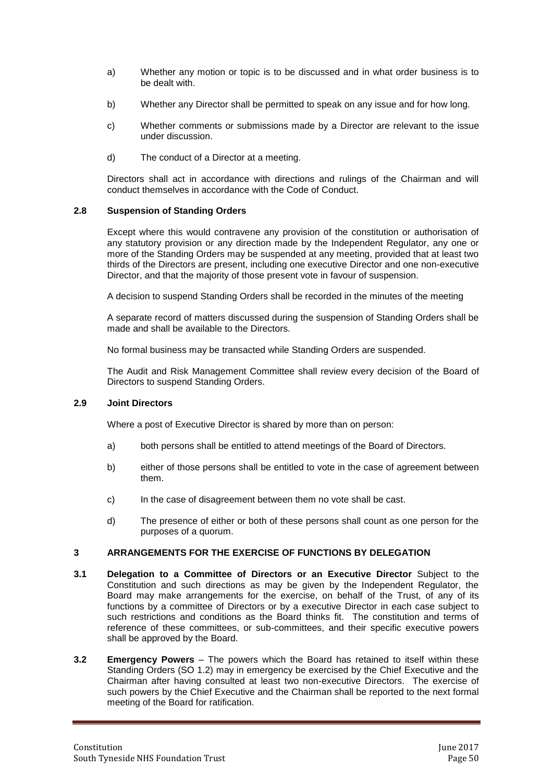- a) Whether any motion or topic is to be discussed and in what order business is to be dealt with.
- b) Whether any Director shall be permitted to speak on any issue and for how long.
- c) Whether comments or submissions made by a Director are relevant to the issue under discussion.
- d) The conduct of a Director at a meeting.

Directors shall act in accordance with directions and rulings of the Chairman and will conduct themselves in accordance with the Code of Conduct.

#### **2.8 Suspension of Standing Orders**

Except where this would contravene any provision of the constitution or authorisation of any statutory provision or any direction made by the Independent Regulator, any one or more of the Standing Orders may be suspended at any meeting, provided that at least two thirds of the Directors are present, including one executive Director and one non-executive Director, and that the majority of those present vote in favour of suspension.

A decision to suspend Standing Orders shall be recorded in the minutes of the meeting

A separate record of matters discussed during the suspension of Standing Orders shall be made and shall be available to the Directors.

No formal business may be transacted while Standing Orders are suspended.

The Audit and Risk Management Committee shall review every decision of the Board of Directors to suspend Standing Orders.

#### **2.9 Joint Directors**

Where a post of Executive Director is shared by more than on person:

- a) both persons shall be entitled to attend meetings of the Board of Directors.
- b) either of those persons shall be entitled to vote in the case of agreement between them.
- c) In the case of disagreement between them no vote shall be cast.
- d) The presence of either or both of these persons shall count as one person for the purposes of a quorum.

# **3 ARRANGEMENTS FOR THE EXERCISE OF FUNCTIONS BY DELEGATION**

- **3.1 Delegation to a Committee of Directors or an Executive Director** Subject to the Constitution and such directions as may be given by the Independent Regulator, the Board may make arrangements for the exercise, on behalf of the Trust, of any of its functions by a committee of Directors or by a executive Director in each case subject to such restrictions and conditions as the Board thinks fit. The constitution and terms of reference of these committees, or sub-committees, and their specific executive powers shall be approved by the Board.
- **3.2 Emergency Powers** The powers which the Board has retained to itself within these Standing Orders (SO 1.2) may in emergency be exercised by the Chief Executive and the Chairman after having consulted at least two non-executive Directors. The exercise of such powers by the Chief Executive and the Chairman shall be reported to the next formal meeting of the Board for ratification.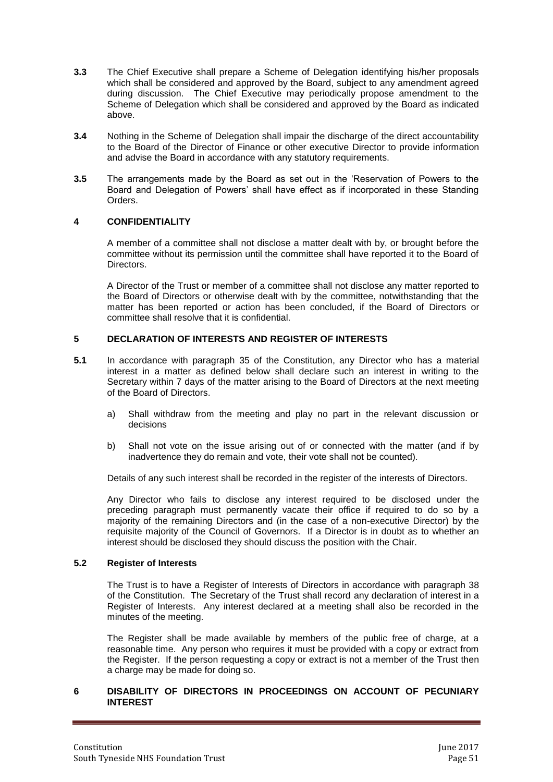- **3.3** The Chief Executive shall prepare a Scheme of Delegation identifying his/her proposals which shall be considered and approved by the Board, subject to any amendment agreed during discussion. The Chief Executive may periodically propose amendment to the Scheme of Delegation which shall be considered and approved by the Board as indicated above.
- **3.4** Nothing in the Scheme of Delegation shall impair the discharge of the direct accountability to the Board of the Director of Finance or other executive Director to provide information and advise the Board in accordance with any statutory requirements.
- **3.5** The arrangements made by the Board as set out in the 'Reservation of Powers to the Board and Delegation of Powers' shall have effect as if incorporated in these Standing Orders.

# **4 CONFIDENTIALITY**

A member of a committee shall not disclose a matter dealt with by, or brought before the committee without its permission until the committee shall have reported it to the Board of **Directors** 

A Director of the Trust or member of a committee shall not disclose any matter reported to the Board of Directors or otherwise dealt with by the committee, notwithstanding that the matter has been reported or action has been concluded, if the Board of Directors or committee shall resolve that it is confidential.

# **5 DECLARATION OF INTERESTS AND REGISTER OF INTERESTS**

- **5.1** In accordance with paragraph 35 of the Constitution, any Director who has a material interest in a matter as defined below shall declare such an interest in writing to the Secretary within 7 days of the matter arising to the Board of Directors at the next meeting of the Board of Directors.
	- a) Shall withdraw from the meeting and play no part in the relevant discussion or decisions
	- b) Shall not vote on the issue arising out of or connected with the matter (and if by inadvertence they do remain and vote, their vote shall not be counted).

Details of any such interest shall be recorded in the register of the interests of Directors.

Any Director who fails to disclose any interest required to be disclosed under the preceding paragraph must permanently vacate their office if required to do so by a majority of the remaining Directors and (in the case of a non-executive Director) by the requisite majority of the Council of Governors. If a Director is in doubt as to whether an interest should be disclosed they should discuss the position with the Chair.

#### **5.2 Register of Interests**

The Trust is to have a Register of Interests of Directors in accordance with paragraph 38 of the Constitution. The Secretary of the Trust shall record any declaration of interest in a Register of Interests. Any interest declared at a meeting shall also be recorded in the minutes of the meeting.

The Register shall be made available by members of the public free of charge, at a reasonable time. Any person who requires it must be provided with a copy or extract from the Register. If the person requesting a copy or extract is not a member of the Trust then a charge may be made for doing so.

#### **6 DISABILITY OF DIRECTORS IN PROCEEDINGS ON ACCOUNT OF PECUNIARY INTEREST**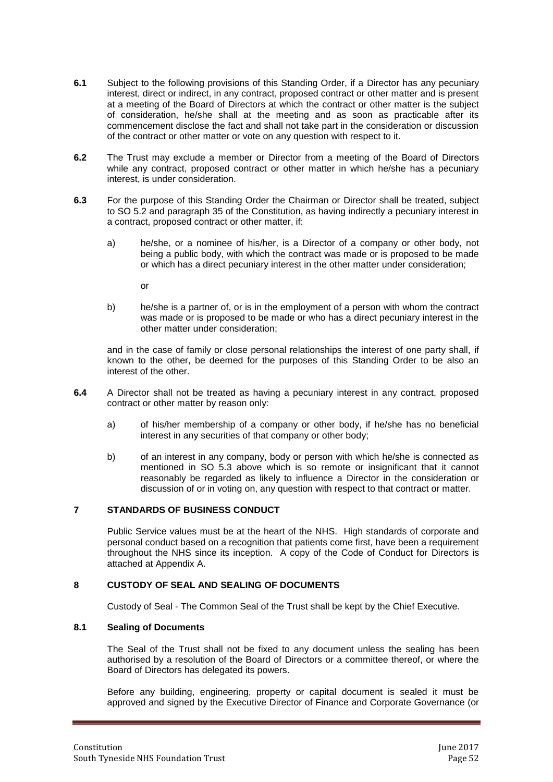- **6.1** Subject to the following provisions of this Standing Order, if a Director has any pecuniary interest, direct or indirect, in any contract, proposed contract or other matter and is present at a meeting of the Board of Directors at which the contract or other matter is the subject of consideration, he/she shall at the meeting and as soon as practicable after its commencement disclose the fact and shall not take part in the consideration or discussion of the contract or other matter or vote on any question with respect to it.
- **6.2** The Trust may exclude a member or Director from a meeting of the Board of Directors while any contract, proposed contract or other matter in which he/she has a pecuniary interest, is under consideration.
- **6.3** For the purpose of this Standing Order the Chairman or Director shall be treated, subject to SO 5.2 and paragraph 35 of the Constitution, as having indirectly a pecuniary interest in a contract, proposed contract or other matter, if:
	- a) he/she, or a nominee of his/her, is a Director of a company or other body, not being a public body, with which the contract was made or is proposed to be made or which has a direct pecuniary interest in the other matter under consideration;

or

b) he/she is a partner of, or is in the employment of a person with whom the contract was made or is proposed to be made or who has a direct pecuniary interest in the other matter under consideration;

and in the case of family or close personal relationships the interest of one party shall, if known to the other, be deemed for the purposes of this Standing Order to be also an interest of the other.

- **6.4** A Director shall not be treated as having a pecuniary interest in any contract, proposed contract or other matter by reason only:
	- a) of his/her membership of a company or other body, if he/she has no beneficial interest in any securities of that company or other body;
	- b) of an interest in any company, body or person with which he/she is connected as mentioned in SO 5.3 above which is so remote or insignificant that it cannot reasonably be regarded as likely to influence a Director in the consideration or discussion of or in voting on, any question with respect to that contract or matter.

## **7 STANDARDS OF BUSINESS CONDUCT**

Public Service values must be at the heart of the NHS. High standards of corporate and personal conduct based on a recognition that patients come first, have been a requirement throughout the NHS since its inception. A copy of the Code of Conduct for Directors is attached at Appendix A.

# **8 CUSTODY OF SEAL AND SEALING OF DOCUMENTS**

Custody of Seal - The Common Seal of the Trust shall be kept by the Chief Executive.

#### **8.1 Sealing of Documents**

The Seal of the Trust shall not be fixed to any document unless the sealing has been authorised by a resolution of the Board of Directors or a committee thereof, or where the Board of Directors has delegated its powers.

Before any building, engineering, property or capital document is sealed it must be approved and signed by the Executive Director of Finance and Corporate Governance (or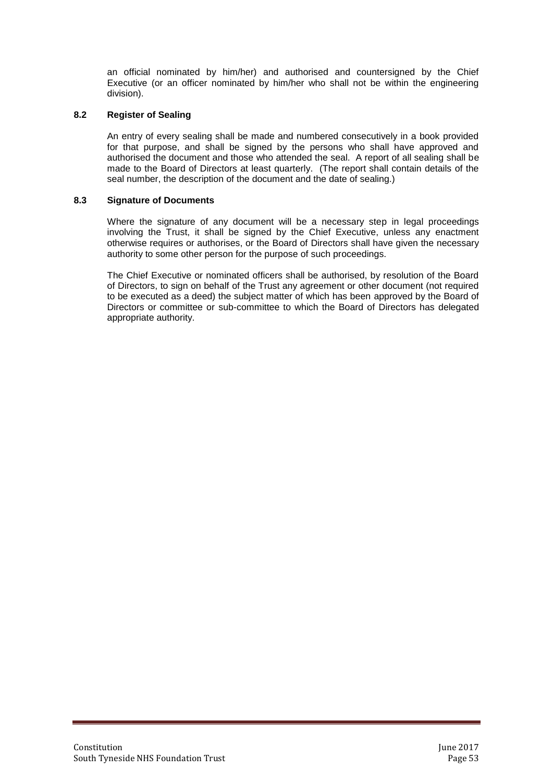an official nominated by him/her) and authorised and countersigned by the Chief Executive (or an officer nominated by him/her who shall not be within the engineering division).

#### **8.2 Register of Sealing**

An entry of every sealing shall be made and numbered consecutively in a book provided for that purpose, and shall be signed by the persons who shall have approved and authorised the document and those who attended the seal. A report of all sealing shall be made to the Board of Directors at least quarterly. (The report shall contain details of the seal number, the description of the document and the date of sealing.)

#### **8.3 Signature of Documents**

Where the signature of any document will be a necessary step in legal proceedings involving the Trust, it shall be signed by the Chief Executive, unless any enactment otherwise requires or authorises, or the Board of Directors shall have given the necessary authority to some other person for the purpose of such proceedings.

The Chief Executive or nominated officers shall be authorised, by resolution of the Board of Directors, to sign on behalf of the Trust any agreement or other document (not required to be executed as a deed) the subject matter of which has been approved by the Board of Directors or committee or sub-committee to which the Board of Directors has delegated appropriate authority.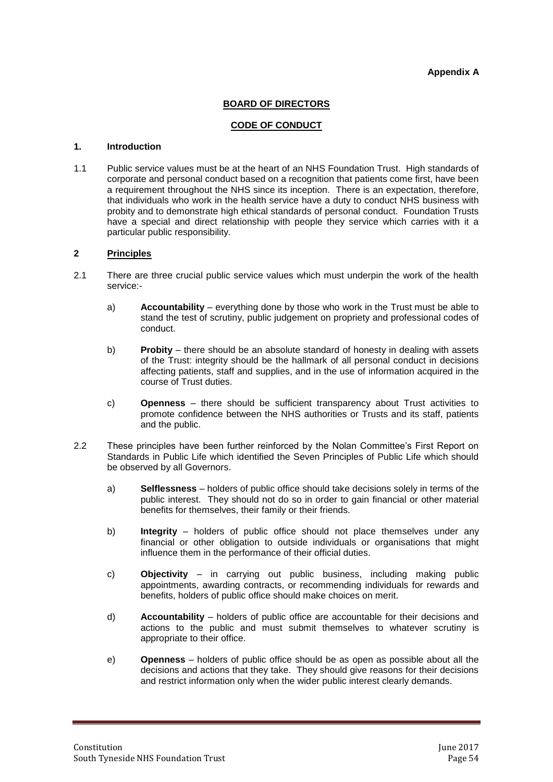#### **Appendix A**

#### **BOARD OF DIRECTORS**

#### **CODE OF CONDUCT**

#### **1. Introduction**

1.1 Public service values must be at the heart of an NHS Foundation Trust. High standards of corporate and personal conduct based on a recognition that patients come first, have been a requirement throughout the NHS since its inception. There is an expectation, therefore, that individuals who work in the health service have a duty to conduct NHS business with probity and to demonstrate high ethical standards of personal conduct. Foundation Trusts have a special and direct relationship with people they service which carries with it a particular public responsibility.

#### **2 Principles**

- 2.1 There are three crucial public service values which must underpin the work of the health service:
	- a) **Accountability** everything done by those who work in the Trust must be able to stand the test of scrutiny, public judgement on propriety and professional codes of conduct.
	- b) **Probity** there should be an absolute standard of honesty in dealing with assets of the Trust: integrity should be the hallmark of all personal conduct in decisions affecting patients, staff and supplies, and in the use of information acquired in the course of Trust duties.
	- c) **Openness** there should be sufficient transparency about Trust activities to promote confidence between the NHS authorities or Trusts and its staff, patients and the public.
- 2.2 These principles have been further reinforced by the Nolan Committee's First Report on Standards in Public Life which identified the Seven Principles of Public Life which should be observed by all Governors.
	- a) **Selflessness** holders of public office should take decisions solely in terms of the public interest. They should not do so in order to gain financial or other material benefits for themselves, their family or their friends.
	- b) **Integrity** holders of public office should not place themselves under any financial or other obligation to outside individuals or organisations that might influence them in the performance of their official duties.
	- c) **Objectivity** in carrying out public business, including making public appointments, awarding contracts, or recommending individuals for rewards and benefits, holders of public office should make choices on merit.
	- d) **Accountability** holders of public office are accountable for their decisions and actions to the public and must submit themselves to whatever scrutiny is appropriate to their office.
	- e) **Openness** holders of public office should be as open as possible about all the decisions and actions that they take. They should give reasons for their decisions and restrict information only when the wider public interest clearly demands.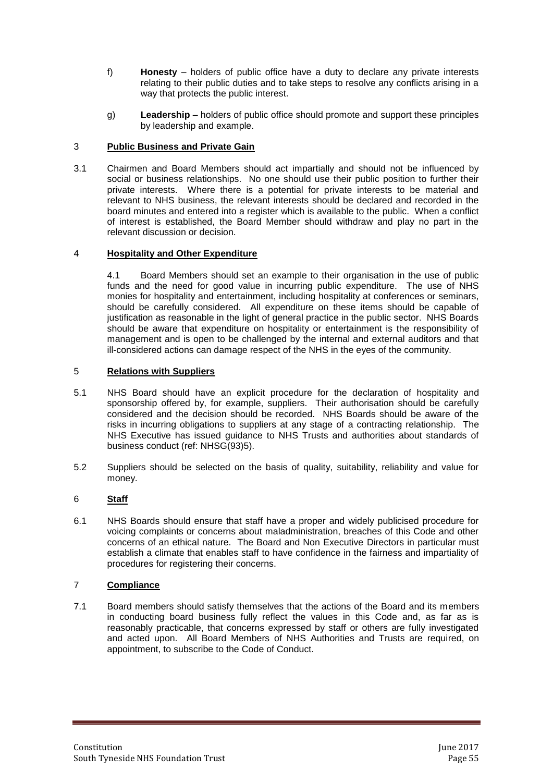- f) **Honesty**  holders of public office have a duty to declare any private interests relating to their public duties and to take steps to resolve any conflicts arising in a way that protects the public interest.
- g) **Leadership** holders of public office should promote and support these principles by leadership and example.

# 3 **Public Business and Private Gain**

3.1 Chairmen and Board Members should act impartially and should not be influenced by social or business relationships. No one should use their public position to further their private interests. Where there is a potential for private interests to be material and relevant to NHS business, the relevant interests should be declared and recorded in the board minutes and entered into a register which is available to the public. When a conflict of interest is established, the Board Member should withdraw and play no part in the relevant discussion or decision.

#### 4 **Hospitality and Other Expenditure**

4.1 Board Members should set an example to their organisation in the use of public funds and the need for good value in incurring public expenditure. The use of NHS monies for hospitality and entertainment, including hospitality at conferences or seminars, should be carefully considered. All expenditure on these items should be capable of justification as reasonable in the light of general practice in the public sector. NHS Boards should be aware that expenditure on hospitality or entertainment is the responsibility of management and is open to be challenged by the internal and external auditors and that ill-considered actions can damage respect of the NHS in the eyes of the community.

#### 5 **Relations with Suppliers**

- 5.1 NHS Board should have an explicit procedure for the declaration of hospitality and sponsorship offered by, for example, suppliers. Their authorisation should be carefully considered and the decision should be recorded. NHS Boards should be aware of the risks in incurring obligations to suppliers at any stage of a contracting relationship. The NHS Executive has issued guidance to NHS Trusts and authorities about standards of business conduct (ref: NHSG(93)5).
- 5.2 Suppliers should be selected on the basis of quality, suitability, reliability and value for money.

# 6 **Staff**

6.1 NHS Boards should ensure that staff have a proper and widely publicised procedure for voicing complaints or concerns about maladministration, breaches of this Code and other concerns of an ethical nature. The Board and Non Executive Directors in particular must establish a climate that enables staff to have confidence in the fairness and impartiality of procedures for registering their concerns.

# 7 **Compliance**

7.1 Board members should satisfy themselves that the actions of the Board and its members in conducting board business fully reflect the values in this Code and, as far as is reasonably practicable, that concerns expressed by staff or others are fully investigated and acted upon. All Board Members of NHS Authorities and Trusts are required, on appointment, to subscribe to the Code of Conduct.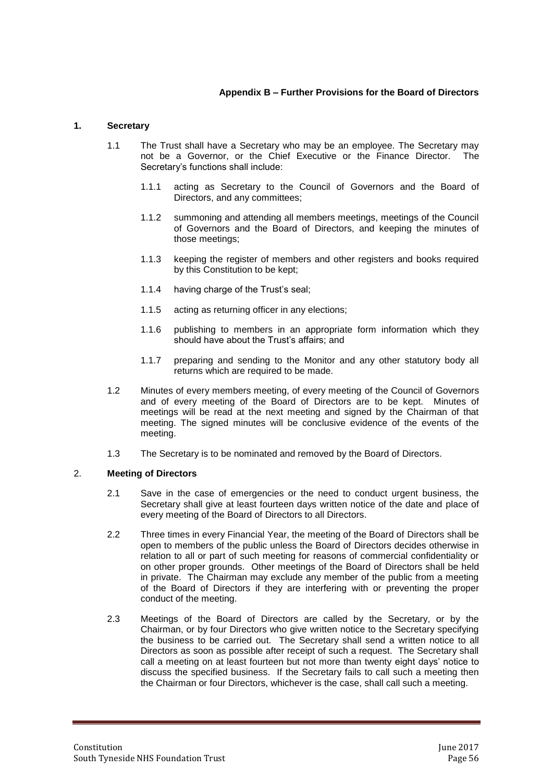# **Appendix B – Further Provisions for the Board of Directors**

#### **1. Secretary**

- 1.1 The Trust shall have a Secretary who may be an employee. The Secretary may not be a Governor, or the Chief Executive or the Finance Director. The Secretary's functions shall include:
	- 1.1.1 acting as Secretary to the Council of Governors and the Board of Directors, and any committees;
	- 1.1.2 summoning and attending all members meetings, meetings of the Council of Governors and the Board of Directors, and keeping the minutes of those meetings;
	- 1.1.3 keeping the register of members and other registers and books required by this Constitution to be kept;
	- 1.1.4 having charge of the Trust's seal;
	- 1.1.5 acting as returning officer in any elections;
	- 1.1.6 publishing to members in an appropriate form information which they should have about the Trust's affairs; and
	- 1.1.7 preparing and sending to the Monitor and any other statutory body all returns which are required to be made.
- 1.2 Minutes of every members meeting, of every meeting of the Council of Governors and of every meeting of the Board of Directors are to be kept. Minutes of meetings will be read at the next meeting and signed by the Chairman of that meeting. The signed minutes will be conclusive evidence of the events of the meeting.
- 1.3 The Secretary is to be nominated and removed by the Board of Directors.

#### 2. **Meeting of Directors**

- 2.1 Save in the case of emergencies or the need to conduct urgent business, the Secretary shall give at least fourteen days written notice of the date and place of every meeting of the Board of Directors to all Directors.
- 2.2 Three times in every Financial Year, the meeting of the Board of Directors shall be open to members of the public unless the Board of Directors decides otherwise in relation to all or part of such meeting for reasons of commercial confidentiality or on other proper grounds. Other meetings of the Board of Directors shall be held in private. The Chairman may exclude any member of the public from a meeting of the Board of Directors if they are interfering with or preventing the proper conduct of the meeting.
- 2.3 Meetings of the Board of Directors are called by the Secretary, or by the Chairman, or by four Directors who give written notice to the Secretary specifying the business to be carried out. The Secretary shall send a written notice to all Directors as soon as possible after receipt of such a request. The Secretary shall call a meeting on at least fourteen but not more than twenty eight days' notice to discuss the specified business. If the Secretary fails to call such a meeting then the Chairman or four Directors, whichever is the case, shall call such a meeting.